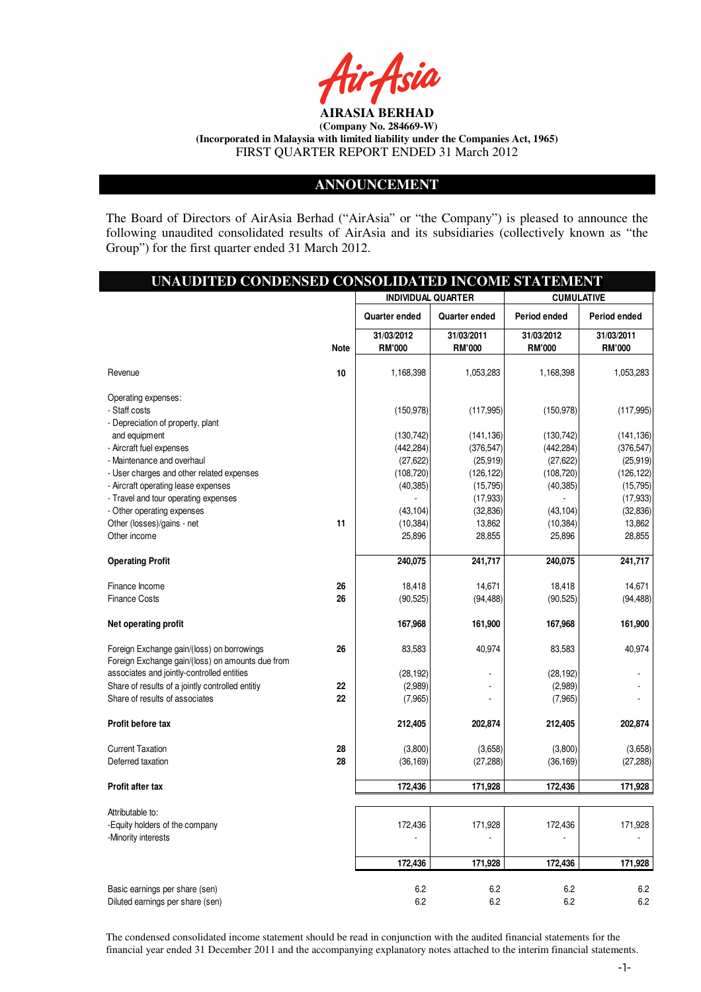

### **ANNOUNCEMENT**

The Board of Directors of AirAsia Berhad ("AirAsia" or "the Company") is pleased to announce the following unaudited consolidated results of AirAsia and its subsidiaries (collectively known as "the Group") for the first quarter ended 31 March 2012.

I

| UNAUDITED CONDENSED CONSOLIDATED INCOME STATEMENT                                              |             |                             |                             |                             |                             |
|------------------------------------------------------------------------------------------------|-------------|-----------------------------|-----------------------------|-----------------------------|-----------------------------|
|                                                                                                |             | <b>INDIVIDUAL QUARTER</b>   |                             |                             | <b>CUMULATIVE</b>           |
|                                                                                                |             | Quarter ended               | Quarter ended               | Period ended                | Period ended                |
|                                                                                                | <b>Note</b> | 31/03/2012<br><b>RM'000</b> | 31/03/2011<br><b>RM'000</b> | 31/03/2012<br><b>RM'000</b> | 31/03/2011<br><b>RM'000</b> |
| Revenue                                                                                        | 10          | 1,168,398                   | 1,053,283                   | 1,168,398                   | 1,053,283                   |
| Operating expenses:                                                                            |             |                             |                             |                             |                             |
| - Staff costs                                                                                  |             | (150, 978)                  | (117, 995)                  | (150, 978)                  | (117,995)                   |
| - Depreciation of property, plant                                                              |             |                             |                             |                             |                             |
| and equipment                                                                                  |             | (130, 742)                  | (141, 136)                  | (130, 742)                  | (141, 136)                  |
| - Aircraft fuel expenses                                                                       |             | (442, 284)                  | (376, 547)                  | (442, 284)                  | (376, 547)                  |
| - Maintenance and overhaul                                                                     |             | (27, 622)                   | (25, 919)                   | (27, 622)                   | (25, 919)                   |
| - User charges and other related expenses                                                      |             | (108, 720)                  | (126, 122)                  | (108, 720)                  | (126, 122)                  |
| - Aircraft operating lease expenses                                                            |             | (40, 385)                   | (15, 795)                   | (40, 385)                   | (15, 795)                   |
| - Travel and tour operating expenses                                                           |             |                             | (17, 933)                   |                             | (17, 933)                   |
| - Other operating expenses                                                                     |             | (43, 104)                   | (32, 836)                   | (43, 104)                   | (32, 836)                   |
| Other (losses)/gains - net                                                                     | 11          | (10, 384)                   | 13,862                      | (10, 384)                   | 13,862                      |
| Other income                                                                                   |             | 25,896                      | 28,855                      | 25,896                      | 28,855                      |
| <b>Operating Profit</b>                                                                        |             | 240,075                     | 241,717                     | 240,075                     | 241,717                     |
| Finance Income                                                                                 | 26          | 18,418                      | 14,671                      | 18,418                      | 14,671                      |
| <b>Finance Costs</b>                                                                           | 26          | (90, 525)                   | (94, 488)                   | (90, 525)                   | (94, 488)                   |
| Net operating profit                                                                           |             | 167,968                     | 161,900                     | 167,968                     | 161,900                     |
| Foreign Exchange gain/(loss) on borrowings<br>Foreign Exchange gain/(loss) on amounts due from | 26          | 83,583                      | 40,974                      | 83,583                      | 40,974                      |
| associates and jointly-controlled entities                                                     |             | (28, 192)                   |                             | (28, 192)                   |                             |
| Share of results of a jointly controlled entitiy                                               | 22          | (2,989)                     |                             | (2,989)                     |                             |
| Share of results of associates                                                                 | 22          | (7,965)                     |                             | (7,965)                     |                             |
| Profit before tax                                                                              |             | 212,405                     | 202,874                     | 212,405                     | 202,874                     |
| <b>Current Taxation</b>                                                                        | 28          | (3,800)                     | (3,658)                     | (3,800)                     | (3,658)                     |
| Deferred taxation                                                                              | 28          | (36, 169)                   | (27, 288)                   | (36, 169)                   | (27, 288)                   |
| <b>Profit after tax</b>                                                                        |             | 172,436                     | 171,928                     | 172,436                     | 171,928                     |
| Attributable to:                                                                               |             |                             |                             |                             |                             |
| -Equity holders of the company                                                                 |             | 172,436                     | 171,928                     | 172,436                     | 171,928                     |
| -Minority interests                                                                            |             |                             |                             |                             |                             |
|                                                                                                |             | 172,436                     | 171,928                     | 172,436                     | 171,928                     |
|                                                                                                |             |                             |                             |                             |                             |
| Basic earnings per share (sen)<br>Diluted earnings per share (sen)                             |             | 6.2<br>6.2                  | 6.2<br>6.2                  | 6.2<br>6.2                  | 6.2<br>6.2                  |

The condensed consolidated income statement should be read in conjunction with the audited financial statements for the financial year ended 31 December 2011 and the accompanying explanatory notes attached to the interim financial statements.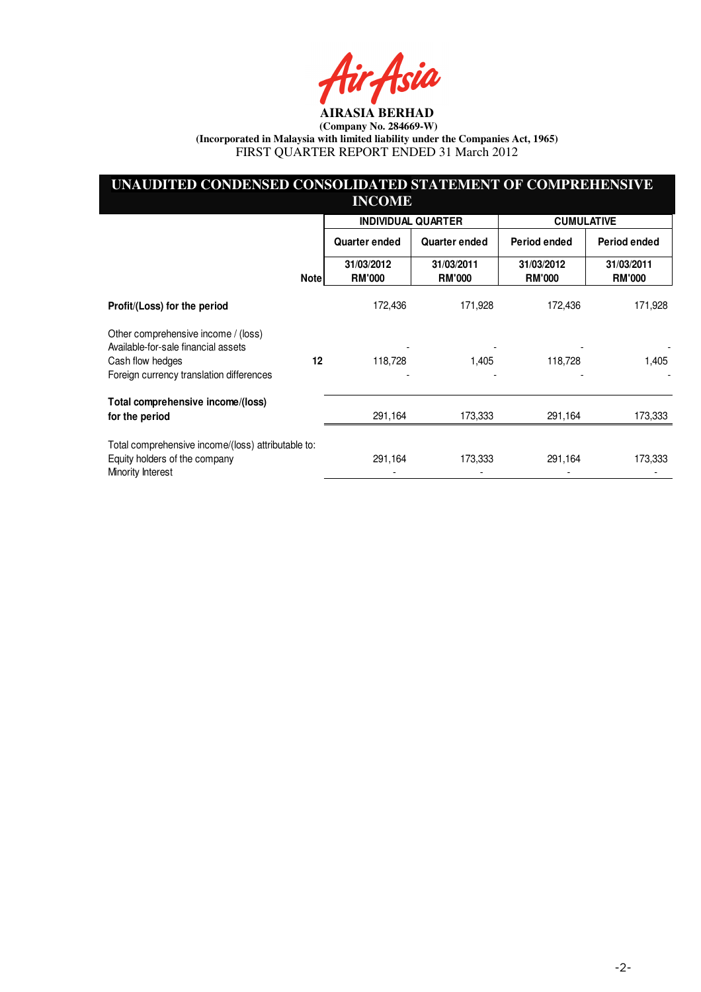Asia

## **UNAUDITED CONDENSED CONSOLIDATED STATEMENT OF COMPREHENSIVE INCOME**

|                                                                                                                                            |             | <b>INDIVIDUAL QUARTER</b>   |                             | <b>CUMULATIVE</b>           |                             |
|--------------------------------------------------------------------------------------------------------------------------------------------|-------------|-----------------------------|-----------------------------|-----------------------------|-----------------------------|
|                                                                                                                                            |             | Quarter ended               | Quarter ended               | Period ended                | Period ended                |
|                                                                                                                                            | <b>Note</b> | 31/03/2012<br><b>RM'000</b> | 31/03/2011<br><b>RM'000</b> | 31/03/2012<br><b>RM'000</b> | 31/03/2011<br><b>RM'000</b> |
| Profit/(Loss) for the period                                                                                                               |             | 172,436                     | 171,928                     | 172,436                     | 171,928                     |
| Other comprehensive income / (loss)<br>Available-for-sale financial assets<br>Cash flow hedges<br>Foreign currency translation differences | $12 \,$     | 118,728                     | 1,405                       | 118,728                     | 1,405                       |
| Total comprehensive income/(loss)<br>for the period                                                                                        |             | 291,164                     | 173,333                     | 291,164                     | 173,333                     |
| Total comprehensive income/(loss) attributable to:<br>Equity holders of the company<br>Minority Interest                                   |             | 291,164                     | 173,333                     | 291,164                     | 173,333                     |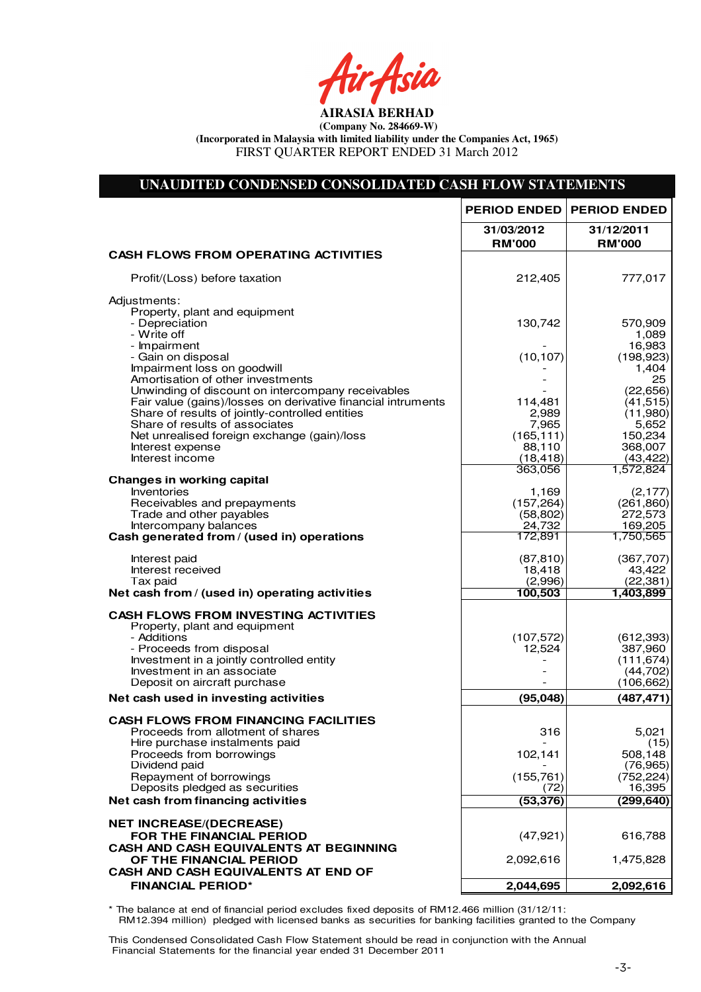Air Asia

# **UNAUDITED CONDENSED CONSOLIDATED CASH FLOW STATEMENTS**

|                                                                                                                 | <b>PERIOD ENDED</b>          | <b>PERIOD ENDED</b>                 |
|-----------------------------------------------------------------------------------------------------------------|------------------------------|-------------------------------------|
|                                                                                                                 | 31/03/2012<br><b>RM'000</b>  | 31/12/2011<br><b>RM'000</b>         |
| <b>CASH FLOWS FROM OPERATING ACTIVITIES</b>                                                                     |                              |                                     |
| Profit/(Loss) before taxation                                                                                   | 212,405                      | 777,017                             |
| Adjustments:<br>Property, plant and equipment                                                                   |                              |                                     |
| - Depreciation<br>- Write off                                                                                   | 130,742                      | 570,909<br>1,089                    |
| - Impairment<br>- Gain on disposal<br>Impairment loss on goodwill                                               | (10, 107)                    | 16,983<br>(198, 923)<br>1,404       |
| Amortisation of other investments<br>Unwinding of discount on intercompany receivables                          |                              | 25<br>(22, 656)                     |
| Fair value (gains)/losses on derivative financial intruments<br>Share of results of jointly-controlled entities | 114,481<br>2,989             | (41, 515)<br>(11,980)               |
| Share of results of associates<br>Net unrealised foreign exchange (gain)/loss                                   | 7,965<br>(165, 111)          | 5,652<br>150,234                    |
| Interest expense<br>Interest income                                                                             | 88,110<br>(18, 418)          | 368,007<br>(43, 422)                |
| <b>Changes in working capital</b><br>Inventories                                                                | 363,056<br>1,169             | 1,572,824<br>(2, 177)               |
| Receivables and prepayments<br>Trade and other payables                                                         | (157, 264)<br>(58, 802)      | (261, 860)<br>272,573               |
| Intercompany balances<br>Cash generated from / (used in) operations                                             | 24,732<br>172,891            | 169,205<br>1,750,565                |
| Interest paid                                                                                                   | (87, 810)                    | (367, 707)                          |
| Interest received<br>Tax paid                                                                                   | 18,418<br>(2,996)<br>100,503 | 43,422<br>(22, 381)<br>1,403,899    |
| Net cash from / (used in) operating activities                                                                  |                              |                                     |
| <b>CASH FLOWS FROM INVESTING ACTIVITIES</b><br>Property, plant and equipment                                    |                              |                                     |
| - Additions<br>- Proceeds from disposal<br>Investment in a jointly controlled entity                            | (107, 572)<br>12,524         | (612, 393)<br>387,960<br>(111, 674) |
| Investment in an associate<br>Deposit on aircraft purchase                                                      |                              | (44, 702)<br>(106, 662)             |
| Net cash used in investing activities                                                                           | (95, 048)                    | (487, 471)                          |
| <b>CASH FLOWS FROM FINANCING FACILITIES</b><br>Proceeds from allotment of shares                                | 316                          | 5,021                               |
| Hire purchase instalments paid<br>Proceeds from borrowings                                                      | 102,141                      | (15)<br>508,148                     |
| Dividend paid<br>Repayment of borrowings                                                                        | (155, 761)                   | (76, 965)<br>(752, 224)             |
| Deposits pledged as securities<br>Net cash from financing activities                                            | (72)<br>(53, 376)            | 16,395<br>(299, 640)                |
| <b>NET INCREASE/(DECREASE)</b>                                                                                  |                              |                                     |
| FOR THE FINANCIAL PERIOD<br>CASH AND CASH EQUIVALENTS AT BEGINNING                                              | (47, 921)                    | 616,788                             |
| OF THE FINANCIAL PERIOD<br>CASH AND CASH EQUIVALENTS AT END OF                                                  | 2,092,616                    | 1,475,828                           |
| <b>FINANCIAL PERIOD*</b>                                                                                        | 2,044,695                    | 2,092,616                           |

\* The balance at end of financial period excludes fixed deposits of RM12.466 million (31/12/11: RM12.394 million) pledged with licensed banks as securities for banking facilities granted to the Company

This Condensed Consolidated Cash Flow Statement should be read in conjunction with the Annual Financial Statements for the financial year ended 31 December 2011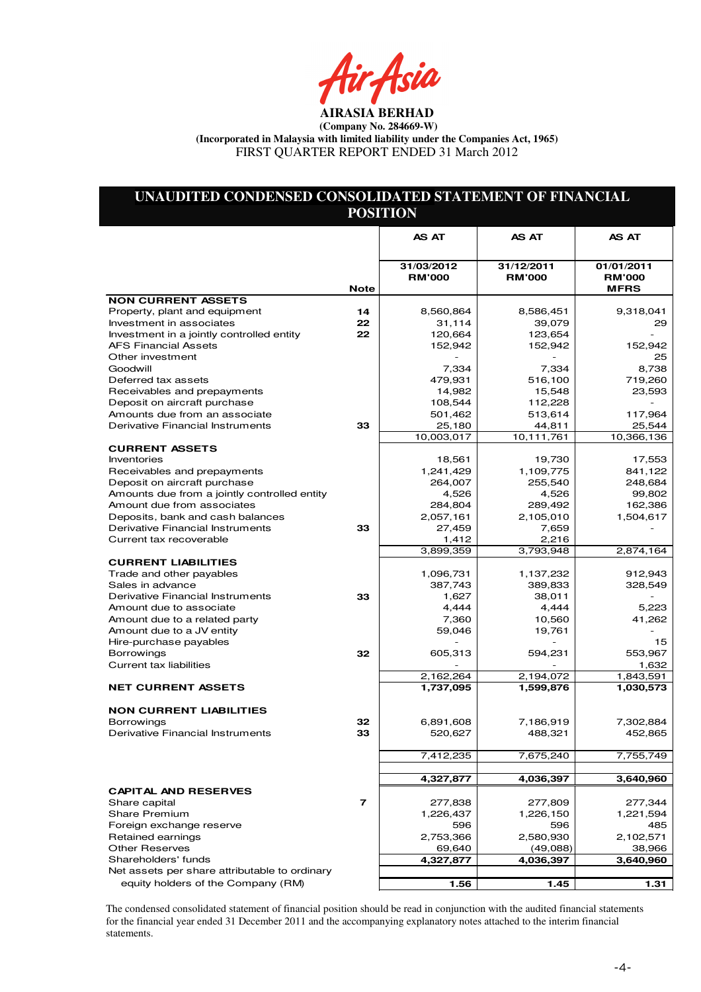ir Asia

## **UNAUDITED CONDENSED CONSOLIDATED STATEMENT OF FINANCIAL POSITION**

|                                                  |             | <b>AS AT</b>                | <b>AS AT</b>                | <b>AS AT</b>                |
|--------------------------------------------------|-------------|-----------------------------|-----------------------------|-----------------------------|
|                                                  |             |                             |                             |                             |
|                                                  |             | 31/03/2012<br><b>RM'000</b> | 31/12/2011<br><b>RM'000</b> | 01/01/2011<br><b>RM'000</b> |
|                                                  | <b>Note</b> |                             |                             | <b>MFRS</b>                 |
| <b>NON CURRENT ASSETS</b>                        |             |                             |                             |                             |
| Property, plant and equipment                    | 14          | 8,560,864                   | 8,586,451                   | 9,318,041                   |
| Investment in associates                         | 22          | 31,114                      | 39,079                      | 29                          |
| Investment in a jointly controlled entity        | 22          | 120,664                     | 123,654                     |                             |
| <b>AFS Financial Assets</b>                      |             | 152,942                     | 152,942                     | 152,942                     |
| Other investment                                 |             |                             |                             | 25                          |
| Goodwill                                         |             | 7,334                       | 7,334                       | 8,738                       |
| Deferred tax assets                              |             | 479,931                     | 516,100                     | 719,260                     |
| Receivables and prepayments                      |             | 14,982                      | 15,548                      | 23,593                      |
| Deposit on aircraft purchase                     |             | 108,544                     | 112,228                     |                             |
| Amounts due from an associate                    |             | 501,462                     | 513,614                     | 117,964                     |
| Derivative Financial Instruments                 | 33          | 25,180                      | 44,811                      | 25,544                      |
|                                                  |             | 10,003,017                  | 10,111,761                  | 10,366,136                  |
| <b>CURRENT ASSETS</b>                            |             |                             |                             |                             |
| Inventories                                      |             | 18,561                      | 19,730                      | 17,553                      |
| Receivables and prepayments                      |             | 1,241,429                   | 1,109,775                   | 841,122                     |
| Deposit on aircraft purchase                     |             | 264,007                     | 255,540                     | 248,684                     |
| Amounts due from a jointly controlled entity     |             | 4,526                       | 4,526                       | 99,802                      |
| Amount due from associates                       |             | 284,804                     | 289,492                     | 162,386                     |
| Deposits, bank and cash balances                 |             | 2,057,161                   | 2,105,010                   | 1,504,617                   |
| Derivative Financial Instruments                 | 33          | 27,459                      | 7,659                       |                             |
| Current tax recoverable                          |             | 1,412<br>3,899,359          | 2,216<br>3,793,948          | 2,874,164                   |
| <b>CURRENT LIABILITIES</b>                       |             |                             |                             |                             |
| Trade and other payables                         |             | 1,096,731                   | 1,137,232                   | 912,943                     |
| Sales in advance                                 |             | 387,743                     | 389,833                     | 328,549                     |
| Derivative Financial Instruments                 | 33          | 1,627                       | 38,011                      |                             |
| Amount due to associate                          |             | 4,444                       | 4,444                       | 5,223                       |
| Amount due to a related party                    |             | 7,360                       | 10,560                      | 41,262                      |
| Amount due to a JV entity                        |             | 59,046                      | 19,761                      |                             |
| Hire-purchase payables                           |             |                             |                             | 15                          |
| <b>Borrowings</b>                                | 32          | 605,313                     | 594,231                     | 553,967                     |
| Current tax liabilities                          |             |                             |                             | 1,632                       |
|                                                  |             | 2,162,264                   | 2,194,072                   | 1,843,591                   |
| <b>NET CURRENT ASSETS</b>                        |             | 1,737,095                   | 1,599,876                   | 1,030,573                   |
|                                                  |             |                             |                             |                             |
| <b>NON CURRENT LIABILITIES</b>                   |             |                             |                             |                             |
| <b>Borrowings</b>                                | 32          | 6,891,608                   | 7,186,919                   | 7,302,884                   |
| Derivative Financial Instruments                 | 33          | 520,627                     | 488,321                     | 452,865                     |
|                                                  |             |                             |                             |                             |
|                                                  |             | 7,412,235                   | 7,675,240                   | 7,755,749                   |
|                                                  |             |                             | 4,036,397                   |                             |
|                                                  |             | 4,327,877                   |                             | 3,640,960                   |
| <b>CAPITAL AND RESERVES</b>                      | 7           | 277,838                     |                             | 277,344                     |
| Share capital                                    |             | 1,226,437                   | 277,809<br>1,226,150        | 1,221,594                   |
| <b>Share Premium</b><br>Foreign exchange reserve |             | 596                         | 596                         | 485                         |
| Retained earnings                                |             | 2,753,366                   | 2,580,930                   | 2,102,571                   |
| <b>Other Reserves</b>                            |             | 69,640                      | (49,088)                    | 38,966                      |
| Shareholders' funds                              |             | 4,327,877                   | 4,036,397                   | 3,640,960                   |
| Net assets per share attributable to ordinary    |             |                             |                             |                             |
| equity holders of the Company (RM)               |             | 1.56                        | 1.45                        | 1.31                        |
|                                                  |             |                             |                             |                             |

The condensed consolidated statement of financial position should be read in conjunction with the audited financial statements for the financial year ended 31 December 2011 and the accompanying explanatory notes attached to the interim financial statements.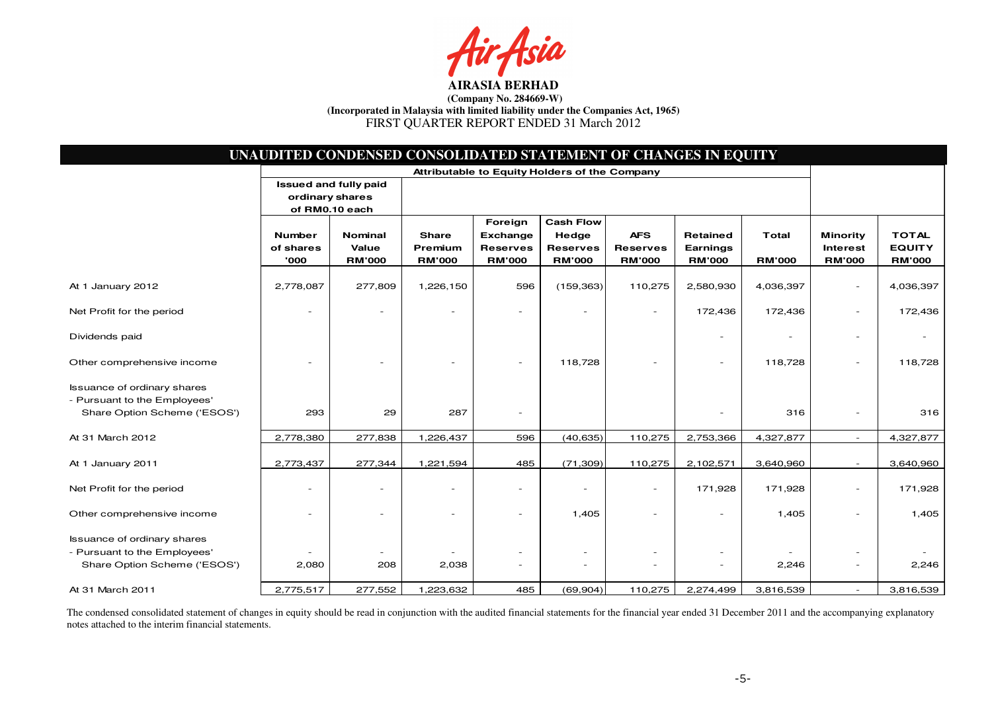Asia

|                                                                                                    |                                               | UNAUDITED CONDENSED CONSOLIDATED STATEMENT OF CHANGES IN EQUITY |                                          |                                                                |                                                               |                                                |                                              |                               |                                                     |                                                |
|----------------------------------------------------------------------------------------------------|-----------------------------------------------|-----------------------------------------------------------------|------------------------------------------|----------------------------------------------------------------|---------------------------------------------------------------|------------------------------------------------|----------------------------------------------|-------------------------------|-----------------------------------------------------|------------------------------------------------|
|                                                                                                    | Attributable to Equity Holders of the Company |                                                                 |                                          |                                                                |                                                               |                                                |                                              |                               |                                                     |                                                |
|                                                                                                    | ordinary shares                               | <b>Issued and fully paid</b><br>of RM0.10 each                  |                                          |                                                                |                                                               |                                                |                                              |                               |                                                     |                                                |
|                                                                                                    | <b>Number</b><br>of shares<br>'000            | Nominal<br>Value<br><b>RM'000</b>                               | <b>Share</b><br>Premium<br><b>RM'000</b> | Foreign<br><b>Exchange</b><br><b>Reserves</b><br><b>RM'000</b> | <b>Cash Flow</b><br>Hedge<br><b>Reserves</b><br><b>RM'000</b> | <b>AFS</b><br><b>Reserves</b><br><b>RM'000</b> | <b>Retained</b><br>Earnings<br><b>RM'000</b> | <b>Total</b><br><b>RM'000</b> | <b>Minority</b><br><b>Interest</b><br><b>RM'000</b> | <b>TOTAL</b><br><b>EQUITY</b><br><b>RM'000</b> |
| At 1 January 2012                                                                                  | 2,778,087                                     | 277,809                                                         | 1,226,150                                | 596                                                            | (159, 363)                                                    | 110,275                                        | 2,580,930                                    | 4,036,397                     | $\overline{\phantom{m}}$                            | 4,036,397                                      |
| Net Profit for the period                                                                          |                                               |                                                                 |                                          | ٠                                                              |                                                               | $\sim$                                         | 172,436                                      | 172,436                       | $\sim$                                              | 172,436                                        |
| Dividends paid                                                                                     |                                               |                                                                 |                                          |                                                                |                                                               |                                                |                                              |                               | $\sim$                                              |                                                |
| Other comprehensive income                                                                         |                                               |                                                                 |                                          |                                                                | 118,728                                                       |                                                |                                              | 118,728                       | ٠                                                   | 118,728                                        |
| <b>Issuance of ordinary shares</b><br>- Pursuant to the Employees'<br>Share Option Scheme ('ESOS') | 293                                           | 29                                                              | 287                                      | ٠                                                              |                                                               |                                                |                                              | 316                           | $\overline{\phantom{a}}$                            | 316                                            |
| At 31 March 2012                                                                                   | 2,778,380                                     | 277,838                                                         | 1,226,437                                | 596                                                            | (40, 635)                                                     | 110,275                                        | 2,753,366                                    | 4,327,877                     | $\sim$                                              | 4,327,877                                      |
| At 1 January 2011                                                                                  | 2,773,437                                     | 277,344                                                         | 1,221,594                                | 485                                                            | (71, 309)                                                     | 110,275                                        | 2,102,571                                    | 3,640,960                     | $\sim$                                              | 3,640,960                                      |
| Net Profit for the period                                                                          |                                               |                                                                 |                                          | $\overline{\phantom{a}}$                                       | ۰                                                             | $\overline{\phantom{a}}$                       | 171,928                                      | 171,928                       | $\overline{\phantom{a}}$                            | 171,928                                        |
| Other comprehensive income                                                                         |                                               |                                                                 |                                          |                                                                | 1,405                                                         | ٠                                              |                                              | 1,405                         | $\overline{\phantom{a}}$                            | 1,405                                          |
| <b>Issuance of ordinary shares</b>                                                                 |                                               |                                                                 |                                          |                                                                |                                                               |                                                |                                              |                               |                                                     |                                                |
| - Pursuant to the Employees'                                                                       |                                               |                                                                 |                                          |                                                                |                                                               | $\overline{\phantom{a}}$                       |                                              |                               | $\overline{\phantom{a}}$                            |                                                |
| Share Option Scheme ('ESOS')                                                                       | 2,080                                         | 208                                                             | 2,038                                    | $\overline{\phantom{a}}$                                       | ٠                                                             | $\overline{\phantom{a}}$                       |                                              | 2,246                         | $\overline{\phantom{a}}$                            | 2,246                                          |
| At 31 March 2011                                                                                   | 2,775,517                                     | 277,552                                                         | 1,223,632                                | 485                                                            | (69, 904)                                                     | 110,275                                        | 2,274,499                                    | 3,816,539                     | $\overline{\phantom{a}}$                            | 3,816,539                                      |

The condensed consolidated statement of changes in equity should be read in conjunction with the audited financial statements for the financial year ended 31 December 2011 and the accompanying explanatory<br>notes attached to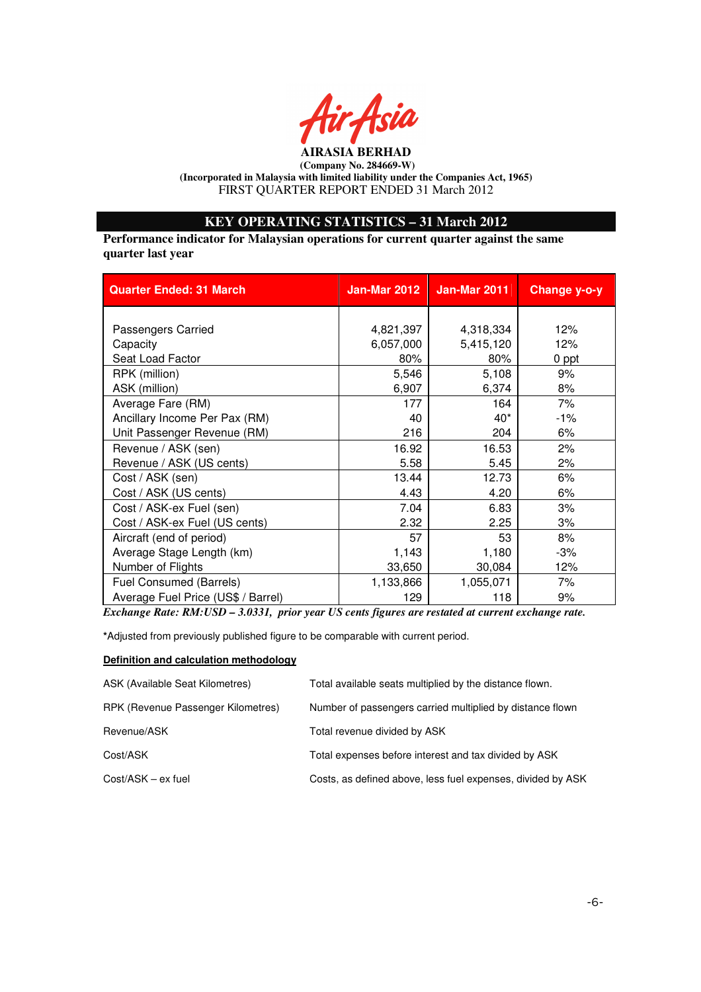

## **KEY OPERATING STATISTICS – 31 March 2012**

**Performance indicator for Malaysian operations for current quarter against the same quarter last year** 

| <b>Quarter Ended: 31 March</b>     | <b>Jan-Mar 2012</b> | <b>Jan-Mar 2011</b> | Change y-o-y |
|------------------------------------|---------------------|---------------------|--------------|
|                                    |                     |                     |              |
| Passengers Carried                 | 4,821,397           | 4,318,334           | 12%          |
| Capacity                           | 6,057,000           | 5,415,120           | 12%          |
| Seat Load Factor                   | 80%                 | 80%                 | 0 ppt        |
| RPK (million)                      | 5,546               | 5,108               | 9%           |
| ASK (million)                      | 6,907               | 6,374               | 8%           |
| Average Fare (RM)                  | 177                 | 164                 | 7%           |
| Ancillary Income Per Pax (RM)      | 40                  | $40^*$              | $-1%$        |
| Unit Passenger Revenue (RM)        | 216                 | 204                 | 6%           |
| Revenue / ASK (sen)                | 16.92               | 16.53               | 2%           |
| Revenue / ASK (US cents)           | 5.58                | 5.45                | 2%           |
| Cost / ASK (sen)                   | 13.44               | 12.73               | 6%           |
| Cost / ASK (US cents)              | 4.43                | 4.20                | 6%           |
| Cost / ASK-ex Fuel (sen)           | 7.04                | 6.83                | 3%           |
| Cost / ASK-ex Fuel (US cents)      | 2.32                | 2.25                | 3%           |
| Aircraft (end of period)           | 57                  | 53                  | 8%           |
| Average Stage Length (km)          | 1,143               | 1,180               | -3%          |
| Number of Flights                  | 33,650              | 30,084              | 12%          |
| Fuel Consumed (Barrels)            | 1,133,866           | 1,055,071           | 7%           |
| Average Fuel Price (US\$ / Barrel) | 129                 | 118                 | 9%           |

*Exchange Rate: RM:USD – 3.0331, prior year US cents figures are restated at current exchange rate.* 

**\***Adjusted from previously published figure to be comparable with current period.

### **Definition and calculation methodology**

| ASK (Available Seat Kilometres)    | Total available seats multiplied by the distance flown.     |
|------------------------------------|-------------------------------------------------------------|
| RPK (Revenue Passenger Kilometres) | Number of passengers carried multiplied by distance flown   |
| Revenue/ASK                        | Total revenue divided by ASK                                |
| Cost/ASK                           | Total expenses before interest and tax divided by ASK       |
| $Cost/ASK - ex fuel$               | Costs, as defined above, less fuel expenses, divided by ASK |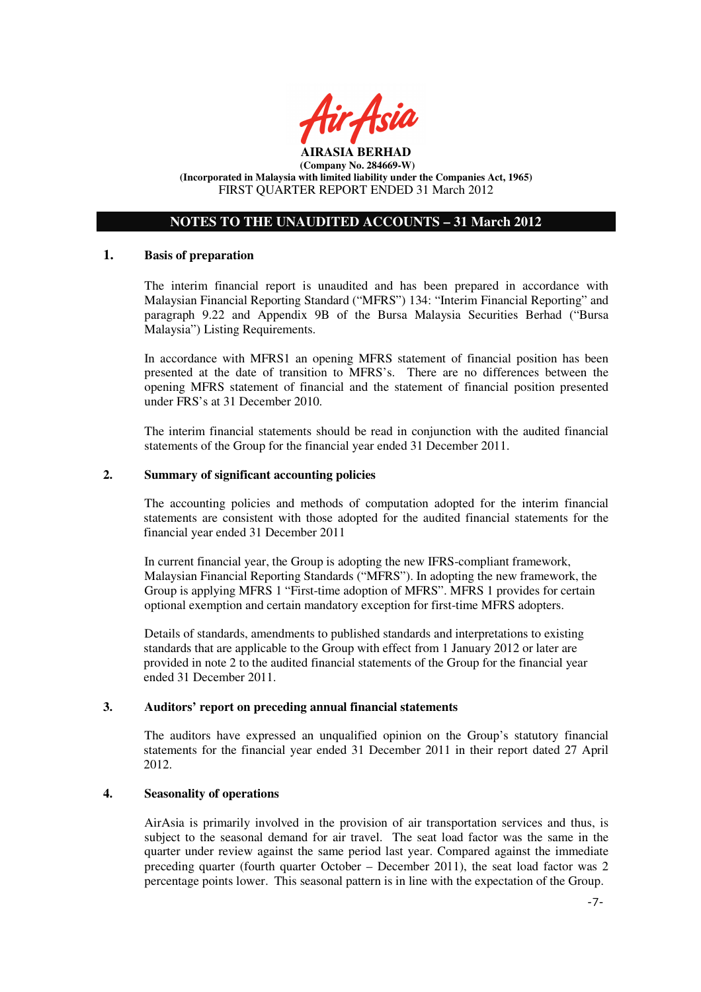

## **NOTES TO THE UNAUDITED ACCOUNTS – 31 March 2012**

### **1. Basis of preparation**

The interim financial report is unaudited and has been prepared in accordance with Malaysian Financial Reporting Standard ("MFRS") 134: "Interim Financial Reporting" and paragraph 9.22 and Appendix 9B of the Bursa Malaysia Securities Berhad ("Bursa Malaysia") Listing Requirements.

In accordance with MFRS1 an opening MFRS statement of financial position has been presented at the date of transition to MFRS's. There are no differences between the opening MFRS statement of financial and the statement of financial position presented under FRS's at 31 December 2010.

The interim financial statements should be read in conjunction with the audited financial statements of the Group for the financial year ended 31 December 2011.

### **2. Summary of significant accounting policies**

The accounting policies and methods of computation adopted for the interim financial statements are consistent with those adopted for the audited financial statements for the financial year ended 31 December 2011

In current financial year, the Group is adopting the new IFRS-compliant framework, Malaysian Financial Reporting Standards ("MFRS"). In adopting the new framework, the Group is applying MFRS 1 "First-time adoption of MFRS". MFRS 1 provides for certain optional exemption and certain mandatory exception for first-time MFRS adopters.

Details of standards, amendments to published standards and interpretations to existing standards that are applicable to the Group with effect from 1 January 2012 or later are provided in note 2 to the audited financial statements of the Group for the financial year ended 31 December 2011.

#### **3. Auditors' report on preceding annual financial statements**

The auditors have expressed an unqualified opinion on the Group's statutory financial statements for the financial year ended 31 December 2011 in their report dated 27 April 2012.

### **4. Seasonality of operations**

AirAsia is primarily involved in the provision of air transportation services and thus, is subject to the seasonal demand for air travel. The seat load factor was the same in the quarter under review against the same period last year. Compared against the immediate preceding quarter (fourth quarter October – December 2011), the seat load factor was 2 percentage points lower. This seasonal pattern is in line with the expectation of the Group.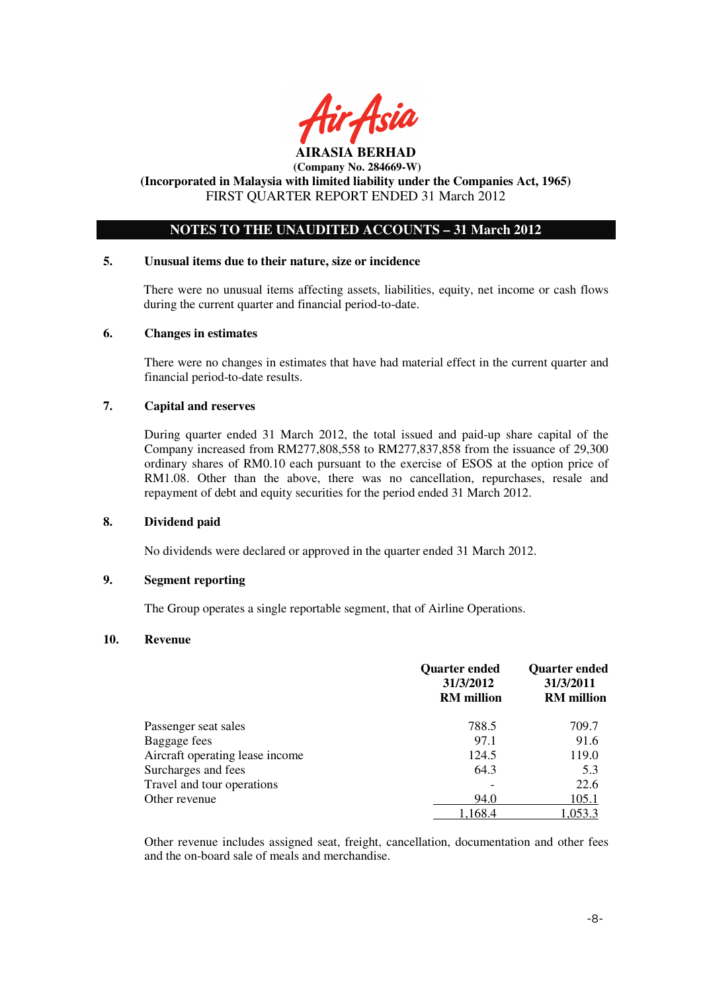

## **(Incorporated in Malaysia with limited liability under the Companies Act, 1965)**  FIRST QUARTER REPORT ENDED 31 March 2012

## **NOTES TO THE UNAUDITED ACCOUNTS – 31 March 2012**

### **5. Unusual items due to their nature, size or incidence**

There were no unusual items affecting assets, liabilities, equity, net income or cash flows during the current quarter and financial period-to-date.

### **6. Changes in estimates**

There were no changes in estimates that have had material effect in the current quarter and financial period-to-date results.

### **7. Capital and reserves**

During quarter ended 31 March 2012, the total issued and paid-up share capital of the Company increased from RM277,808,558 to RM277,837,858 from the issuance of 29,300 ordinary shares of RM0.10 each pursuant to the exercise of ESOS at the option price of RM1.08. Other than the above, there was no cancellation, repurchases, resale and repayment of debt and equity securities for the period ended 31 March 2012.

## **8. Dividend paid**

No dividends were declared or approved in the quarter ended 31 March 2012.

## **9. Segment reporting**

The Group operates a single reportable segment, that of Airline Operations.

### **10. Revenue**

|                                 | <b>Quarter ended</b><br>31/3/2012<br><b>RM</b> million | <b>Quarter ended</b><br>31/3/2011<br><b>RM</b> million |
|---------------------------------|--------------------------------------------------------|--------------------------------------------------------|
| Passenger seat sales            | 788.5                                                  | 709.7                                                  |
| Baggage fees                    | 97.1                                                   | 91.6                                                   |
| Aircraft operating lease income | 124.5                                                  | 119.0                                                  |
| Surcharges and fees             | 64.3                                                   | 5.3                                                    |
| Travel and tour operations      |                                                        | 22.6                                                   |
| Other revenue                   | 94.0                                                   | 105.1                                                  |
|                                 | 1.168.4                                                | 1,053.3                                                |

Other revenue includes assigned seat, freight, cancellation, documentation and other fees and the on-board sale of meals and merchandise.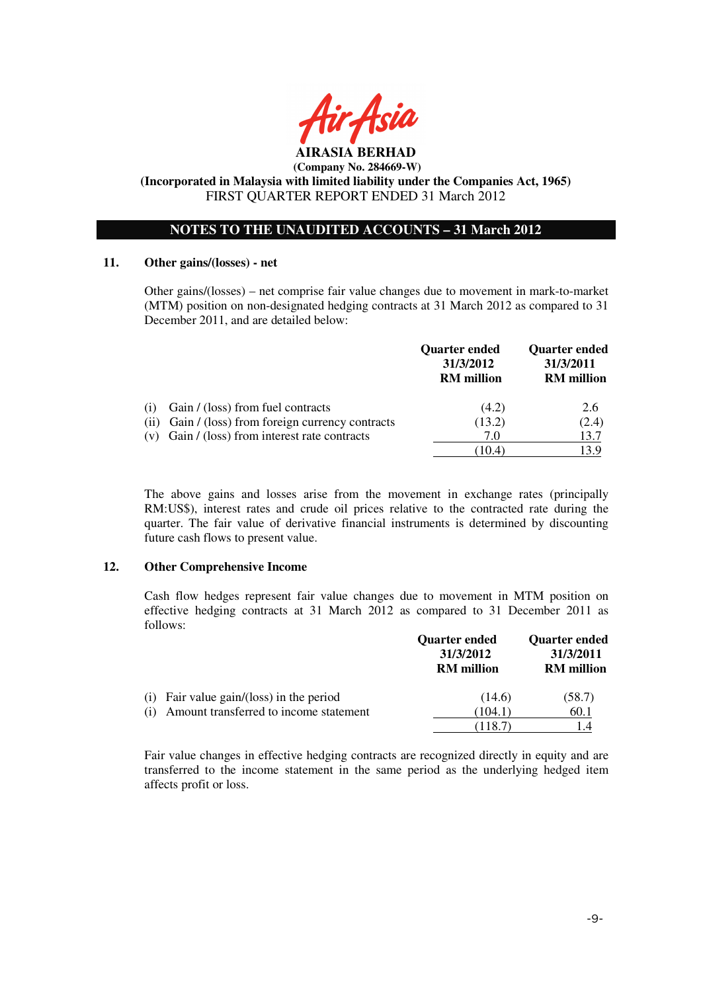

**(Incorporated in Malaysia with limited liability under the Companies Act, 1965)**  FIRST QUARTER REPORT ENDED 31 March 2012

## **NOTES TO THE UNAUDITED ACCOUNTS – 31 March 2012**

### **11. Other gains/(losses) - net**

 Other gains/(losses) – net comprise fair value changes due to movement in mark-to-market (MTM) position on non-designated hedging contracts at 31 March 2012 as compared to 31 December 2011, and are detailed below:

|     |                                                    | <b>Quarter ended</b><br>31/3/2012<br><b>RM</b> million | <b>Quarter ended</b><br>31/3/2011<br><b>RM</b> million |
|-----|----------------------------------------------------|--------------------------------------------------------|--------------------------------------------------------|
| (1) | Gain / (loss) from fuel contracts                  | (4.2)                                                  | 2.6                                                    |
|     | (ii) Gain / (loss) from foreign currency contracts | (13.2)                                                 | (2.4)                                                  |
|     | $(v)$ Gain / (loss) from interest rate contracts   | 7.0                                                    | 13.7                                                   |
|     |                                                    | (10.4)                                                 | 13 Q                                                   |

The above gains and losses arise from the movement in exchange rates (principally RM:US\$), interest rates and crude oil prices relative to the contracted rate during the quarter. The fair value of derivative financial instruments is determined by discounting future cash flows to present value.

### **12. Other Comprehensive Income**

Cash flow hedges represent fair value changes due to movement in MTM position on effective hedging contracts at 31 March 2012 as compared to 31 December 2011 as follows:

|                                               | Quarter ended<br>31/3/2012<br><b>RM</b> million | <b>Quarter ended</b><br>31/3/2011<br><b>RM</b> million |
|-----------------------------------------------|-------------------------------------------------|--------------------------------------------------------|
| Fair value gain/(loss) in the period<br>(1)   | (14.6)                                          | (58.7)                                                 |
| Amount transferred to income statement<br>(1) | (104.1)                                         | 60.1                                                   |
|                                               |                                                 |                                                        |

Fair value changes in effective hedging contracts are recognized directly in equity and are transferred to the income statement in the same period as the underlying hedged item affects profit or loss.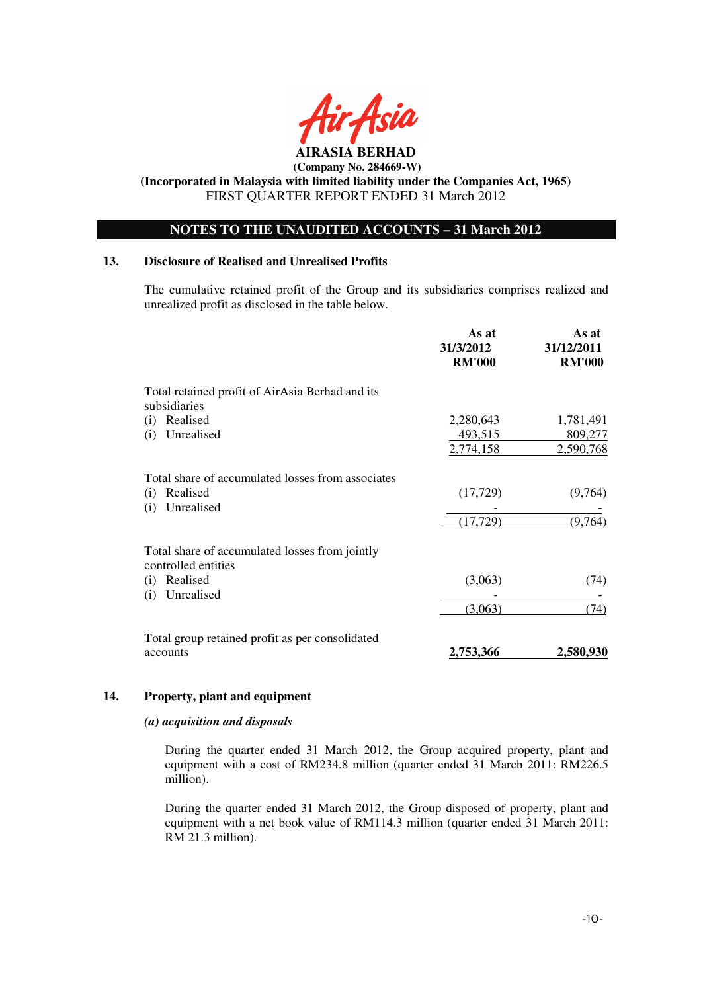

**(Incorporated in Malaysia with limited liability under the Companies Act, 1965)**  FIRST QUARTER REPORT ENDED 31 March 2012

## **NOTES TO THE UNAUDITED ACCOUNTS – 31 March 2012**

### **13. Disclosure of Realised and Unrealised Profits**

The cumulative retained profit of the Group and its subsidiaries comprises realized and unrealized profit as disclosed in the table below.

|                                                                       | As at<br>31/3/2012<br><b>RM'000</b> | As at<br>31/12/2011<br><b>RM'000</b> |
|-----------------------------------------------------------------------|-------------------------------------|--------------------------------------|
| Total retained profit of AirAsia Berhad and its                       |                                     |                                      |
| subsidiaries                                                          |                                     |                                      |
| Realised<br>$\left( 1\right)$                                         | 2,280,643                           | 1,781,491                            |
| Unrealised<br>(i)                                                     | 493,515                             | 809,277                              |
|                                                                       | 2,774,158                           | 2,590,768                            |
| Total share of accumulated losses from associates                     |                                     |                                      |
| Realised<br>(i)<br>Unrealised<br>(i)                                  | (17, 729)                           | (9,764)                              |
|                                                                       | (17, 729)                           | (9,764)                              |
| Total share of accumulated losses from jointly<br>controlled entities |                                     |                                      |
| Realised<br>(1)                                                       | (3,063)                             | (74)                                 |
| Unrealised<br>(i)                                                     |                                     |                                      |
|                                                                       | (3,063)                             | (74)                                 |
| Total group retained profit as per consolidated                       |                                     |                                      |
| accounts                                                              | 2,753,366                           | 2,580,930                            |

#### **14. Property, plant and equipment**

#### *(a) acquisition and disposals*

During the quarter ended 31 March 2012, the Group acquired property, plant and equipment with a cost of RM234.8 million (quarter ended 31 March 2011: RM226.5 million).

During the quarter ended 31 March 2012, the Group disposed of property, plant and equipment with a net book value of RM114.3 million (quarter ended 31 March 2011: RM 21.3 million).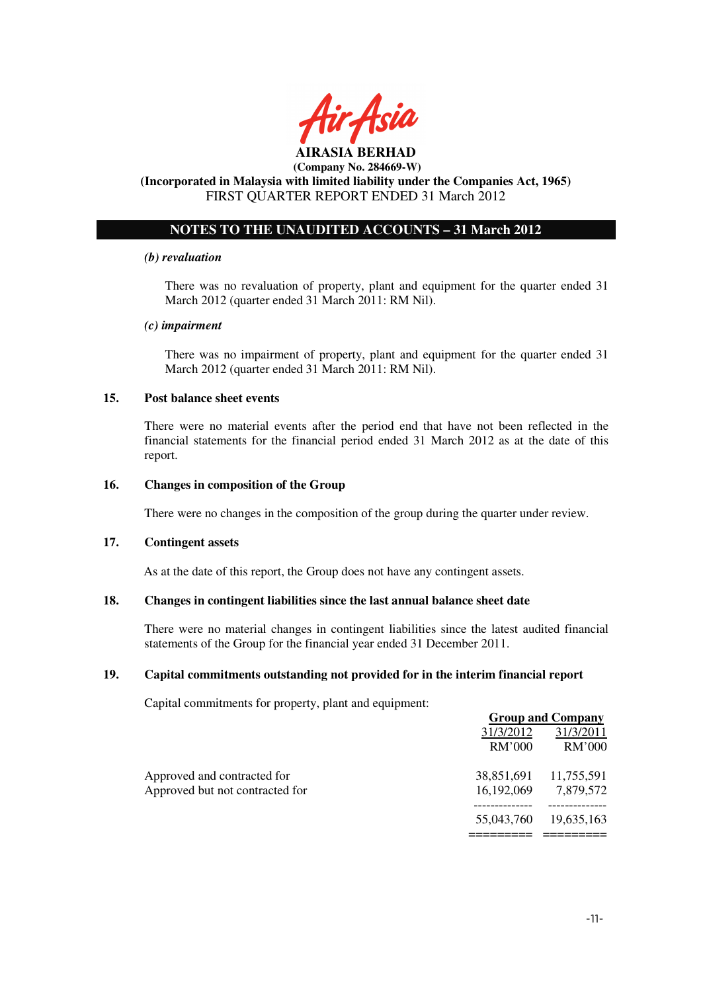

#### **AIRASIA BERHAD (Company No. 284669-W)**

## **(Incorporated in Malaysia with limited liability under the Companies Act, 1965)**  FIRST QUARTER REPORT ENDED 31 March 2012

## **NOTES TO THE UNAUDITED ACCOUNTS – 31 March 2012**

### *(b) revaluation*

There was no revaluation of property, plant and equipment for the quarter ended 31 March 2012 (quarter ended 31 March 2011: RM Nil).

### *(c) impairment*

There was no impairment of property, plant and equipment for the quarter ended 31 March 2012 (quarter ended 31 March 2011: RM Nil).

### **15. Post balance sheet events**

There were no material events after the period end that have not been reflected in the financial statements for the financial period ended 31 March 2012 as at the date of this report.

### **16. Changes in composition of the Group**

There were no changes in the composition of the group during the quarter under review.

### **17. Contingent assets**

As at the date of this report, the Group does not have any contingent assets.

## **18. Changes in contingent liabilities since the last annual balance sheet date**

There were no material changes in contingent liabilities since the latest audited financial statements of the Group for the financial year ended 31 December 2011.

### **19. Capital commitments outstanding not provided for in the interim financial report**

Capital commitments for property, plant and equipment:

|                                 | <b>Group and Company</b> |            |  |
|---------------------------------|--------------------------|------------|--|
|                                 | 31/3/2012                | 31/3/2011  |  |
|                                 | RM'000                   | RM'000     |  |
| Approved and contracted for     | 38,851,691               | 11,755,591 |  |
| Approved but not contracted for | 16,192,069               | 7,879,572  |  |
|                                 | 55,043,760               | 19,635,163 |  |
|                                 |                          |            |  |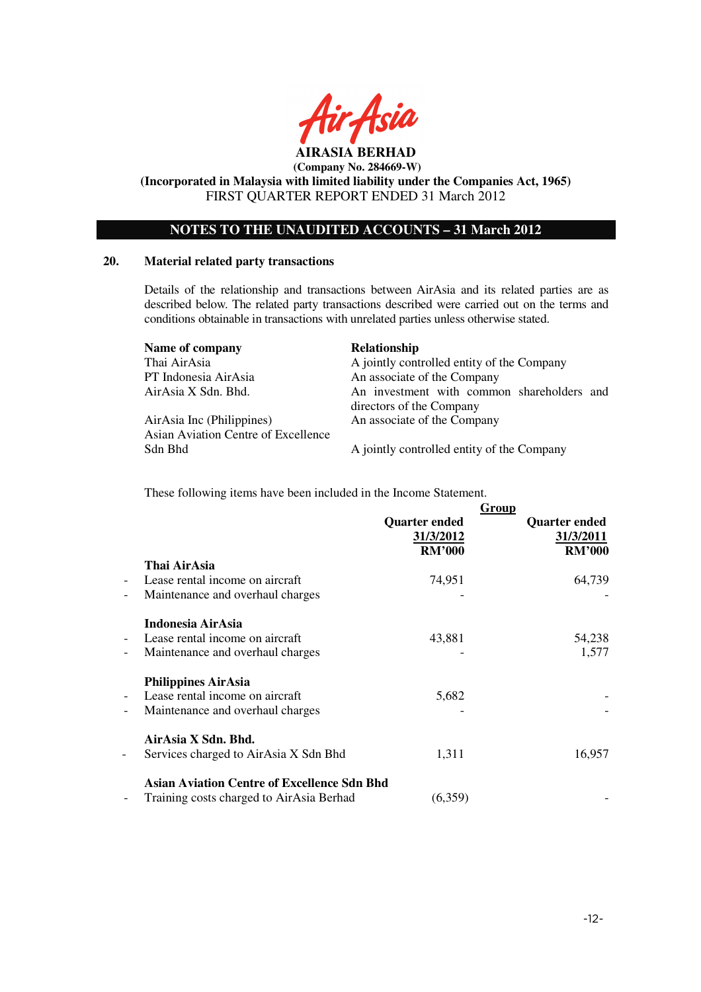

**(Incorporated in Malaysia with limited liability under the Companies Act, 1965)**  FIRST QUARTER REPORT ENDED 31 March 2012

## **NOTES TO THE UNAUDITED ACCOUNTS – 31 March 2012**

### **20. Material related party transactions**

Details of the relationship and transactions between AirAsia and its related parties are as described below. The related party transactions described were carried out on the terms and conditions obtainable in transactions with unrelated parties unless otherwise stated.

| Name of company                     | Relationship                               |
|-------------------------------------|--------------------------------------------|
| Thai AirAsia                        | A jointly controlled entity of the Company |
| PT Indonesia AirAsia                | An associate of the Company                |
| AirAsia X Sdn. Bhd.                 | An investment with common shareholders and |
|                                     | directors of the Company                   |
| AirAsia Inc (Philippines)           | An associate of the Company                |
| Asian Aviation Centre of Excellence |                                            |
| Sdn Bhd                             | A jointly controlled entity of the Company |

These following items have been included in the Income Statement.

|                                               | Thai AirAsia                                                                                      | <b>Quarter ended</b><br>31/3/2012<br><b>RM'000</b> | Group<br><b>Quarter ended</b><br>31/3/2011<br><b>RM'000</b> |
|-----------------------------------------------|---------------------------------------------------------------------------------------------------|----------------------------------------------------|-------------------------------------------------------------|
| $\overline{\phantom{0}}$<br>$\qquad \qquad -$ | Lease rental income on aircraft<br>Maintenance and overhaul charges                               | 74,951                                             | 64,739                                                      |
| $\overline{\phantom{0}}$<br>-                 | Indonesia AirAsia<br>Lease rental income on aircraft<br>Maintenance and overhaul charges          | 43,881                                             | 54,238<br>1,577                                             |
| $\overline{a}$<br>$\qquad \qquad -$           | <b>Philippines AirAsia</b><br>Lease rental income on aircraft<br>Maintenance and overhaul charges | 5,682                                              |                                                             |
| -                                             | AirAsia X Sdn. Bhd.<br>Services charged to AirAsia X Sdn Bhd                                      | 1,311                                              | 16,957                                                      |
| -                                             | <b>Asian Aviation Centre of Excellence Sdn Bhd</b><br>Training costs charged to AirAsia Berhad    | (6,359)                                            |                                                             |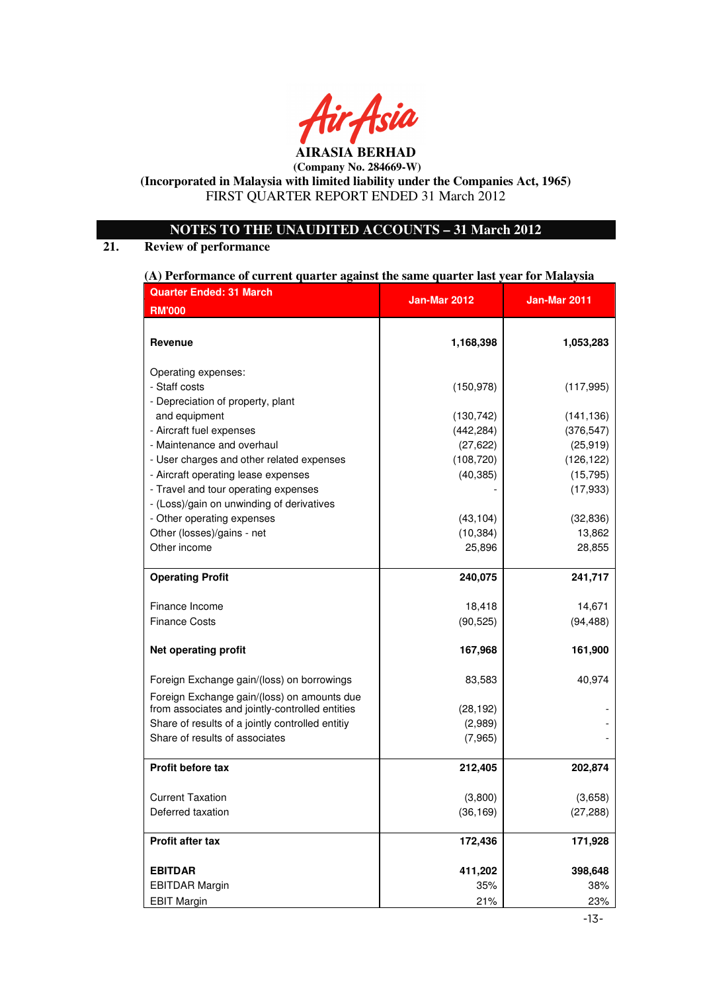

## **AIRASIA BERHAD (Company No. 284669-W)**

## **(Incorporated in Malaysia with limited liability under the Companies Act, 1965)**  FIRST QUARTER REPORT ENDED 31 March 2012

## **NOTES TO THE UNAUDITED ACCOUNTS – 31 March 2012**

## **21. Review of performance**

### **(A) Performance of current quarter against the same quarter last year for Malaysia**

| <b>Quarter Ended: 31 March</b>                                                     | <b>Jan-Mar 2012</b>     | Jan-Mar 2011            |
|------------------------------------------------------------------------------------|-------------------------|-------------------------|
| <b>RM'000</b>                                                                      |                         |                         |
| Revenue                                                                            | 1,168,398               | 1,053,283               |
| Operating expenses:                                                                |                         |                         |
| - Staff costs                                                                      | (150, 978)              | (117, 995)              |
| - Depreciation of property, plant                                                  |                         |                         |
| and equipment                                                                      | (130, 742)              | (141, 136)              |
| - Aircraft fuel expenses                                                           | (442, 284)              | (376, 547)              |
| - Maintenance and overhaul                                                         | (27, 622)               | (25, 919)               |
| - User charges and other related expenses<br>- Aircraft operating lease expenses   | (108, 720)<br>(40, 385) | (126, 122)<br>(15, 795) |
| - Travel and tour operating expenses                                               |                         | (17, 933)               |
| - (Loss)/gain on unwinding of derivatives                                          |                         |                         |
| - Other operating expenses                                                         | (43, 104)               | (32, 836)               |
| Other (losses)/gains - net                                                         | (10, 384)               | 13,862                  |
| Other income                                                                       | 25,896                  | 28,855                  |
| <b>Operating Profit</b>                                                            | 240,075                 | 241,717                 |
|                                                                                    |                         |                         |
| Finance Income                                                                     | 18,418                  | 14,671                  |
| <b>Finance Costs</b>                                                               | (90, 525)               | (94, 488)               |
| <b>Net operating profit</b>                                                        | 167,968                 | 161,900                 |
| Foreign Exchange gain/(loss) on borrowings                                         | 83,583                  | 40,974                  |
| Foreign Exchange gain/(loss) on amounts due                                        |                         |                         |
| from associates and jointly-controlled entities                                    | (28, 192)               |                         |
| Share of results of a jointly controlled entitiy<br>Share of results of associates | (2,989)<br>(7, 965)     |                         |
|                                                                                    |                         |                         |
| <b>Profit before tax</b>                                                           | 212,405                 | 202,874                 |
| <b>Current Taxation</b>                                                            | (3,800)                 | (3,658)                 |
| Deferred taxation                                                                  | (36, 169)               | (27, 288)               |
|                                                                                    |                         |                         |
| Profit after tax                                                                   | 172,436                 | 171,928                 |
| <b>EBITDAR</b>                                                                     | 411,202                 | 398,648                 |
| <b>EBITDAR Margin</b>                                                              | 35%                     | 38%                     |
| <b>EBIT Margin</b>                                                                 | 21%                     | 23%                     |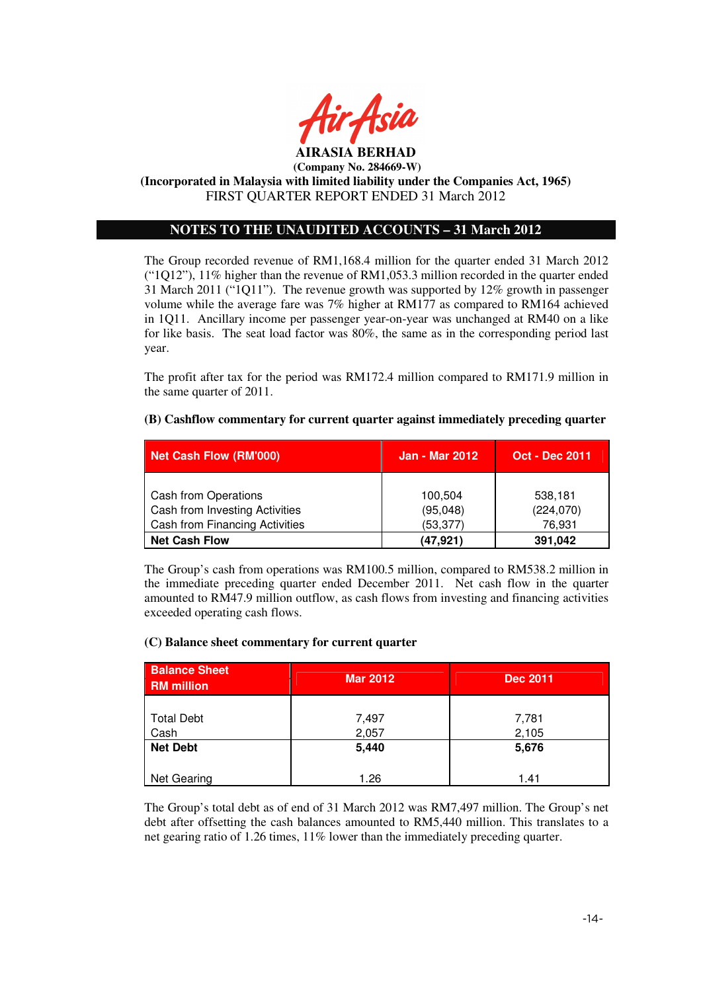

## **NOTES TO THE UNAUDITED ACCOUNTS – 31 March 2012**

The Group recorded revenue of RM1,168.4 million for the quarter ended 31 March 2012 ("1Q12"), 11% higher than the revenue of RM1,053.3 million recorded in the quarter ended 31 March 2011 ("1Q11"). The revenue growth was supported by 12% growth in passenger volume while the average fare was 7% higher at RM177 as compared to RM164 achieved in 1Q11. Ancillary income per passenger year-on-year was unchanged at RM40 on a like for like basis. The seat load factor was 80%, the same as in the corresponding period last year.

The profit after tax for the period was RM172.4 million compared to RM171.9 million in the same quarter of 2011.

## **(B) Cashflow commentary for current quarter against immediately preceding quarter**

| Net Cash Flow (RM'000)                | <b>Jan - Mar 2012</b> | <b>Oct - Dec 2011</b> |
|---------------------------------------|-----------------------|-----------------------|
|                                       |                       |                       |
| Cash from Operations                  | 100,504               | 538,181               |
| Cash from Investing Activities        | (95,048)              | (224,070)             |
| <b>Cash from Financing Activities</b> | (53, 377)             | 76,931                |
| <b>Net Cash Flow</b>                  | (47, 921)             | 391,042               |

The Group's cash from operations was RM100.5 million, compared to RM538.2 million in the immediate preceding quarter ended December 2011. Net cash flow in the quarter amounted to RM47.9 million outflow, as cash flows from investing and financing activities exceeded operating cash flows.

## **(C) Balance sheet commentary for current quarter**

| <b>Balance Sheet</b><br><b>RM</b> million | <b>Mar 2012</b> | <b>Dec 2011</b> |
|-------------------------------------------|-----------------|-----------------|
| <b>Total Debt</b>                         | 7,497           | 7,781           |
| Cash                                      | 2,057           | 2,105           |
| <b>Net Debt</b>                           | 5,440           | 5,676           |
| Net Gearing                               | 1.26            | 1.41            |

The Group's total debt as of end of 31 March 2012 was RM7,497 million. The Group's net debt after offsetting the cash balances amounted to RM5,440 million. This translates to a net gearing ratio of 1.26 times, 11% lower than the immediately preceding quarter.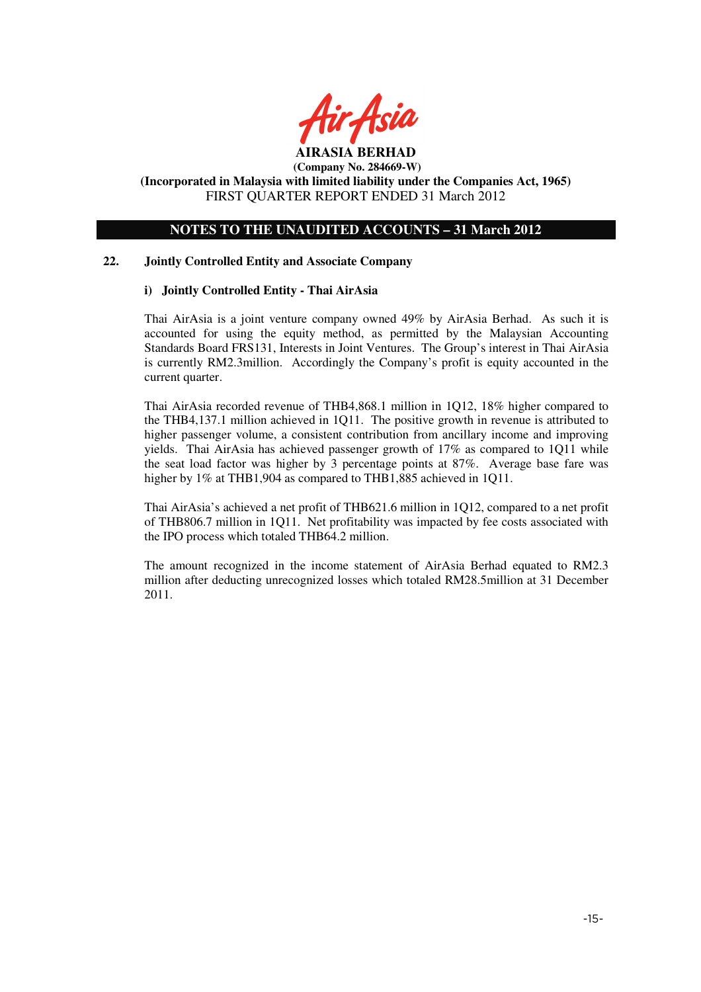

## **NOTES TO THE UNAUDITED ACCOUNTS – 31 March 2012**

### **22. Jointly Controlled Entity and Associate Company**

### **i) Jointly Controlled Entity - Thai AirAsia**

Thai AirAsia is a joint venture company owned 49% by AirAsia Berhad. As such it is accounted for using the equity method, as permitted by the Malaysian Accounting Standards Board FRS131, Interests in Joint Ventures. The Group's interest in Thai AirAsia is currently RM2.3million. Accordingly the Company's profit is equity accounted in the current quarter.

Thai AirAsia recorded revenue of THB4,868.1 million in 1Q12, 18% higher compared to the THB4,137.1 million achieved in 1Q11. The positive growth in revenue is attributed to higher passenger volume, a consistent contribution from ancillary income and improving yields. Thai AirAsia has achieved passenger growth of 17% as compared to 1Q11 while the seat load factor was higher by 3 percentage points at 87%. Average base fare was higher by  $1\%$  at THB1,904 as compared to THB1,885 achieved in 1Q11.

Thai AirAsia's achieved a net profit of THB621.6 million in 1Q12, compared to a net profit of THB806.7 million in 1Q11. Net profitability was impacted by fee costs associated with the IPO process which totaled THB64.2 million.

The amount recognized in the income statement of AirAsia Berhad equated to RM2.3 million after deducting unrecognized losses which totaled RM28.5million at 31 December 2011.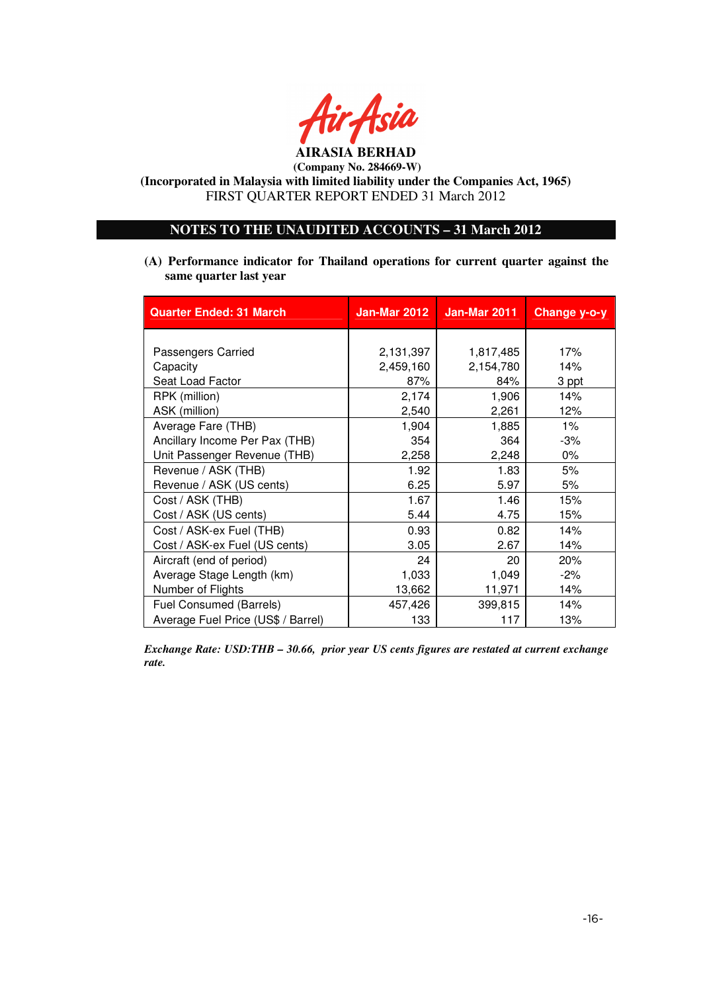

**AIRASIA BERHAD (Company No. 284669-W)** 

**(Incorporated in Malaysia with limited liability under the Companies Act, 1965)**  FIRST QUARTER REPORT ENDED 31 March 2012

## **NOTES TO THE UNAUDITED ACCOUNTS – 31 March 2012**

**(A) Performance indicator for Thailand operations for current quarter against the same quarter last year**

| <b>Quarter Ended: 31 March</b>     | Jan-Mar 2012 | <b>Jan-Mar 2011</b> | Change y-o-y |
|------------------------------------|--------------|---------------------|--------------|
|                                    |              |                     |              |
| Passengers Carried                 | 2,131,397    | 1,817,485           | 17%          |
| Capacity                           | 2,459,160    | 2,154,780           | 14%          |
| Seat Load Factor                   | 87%          | 84%                 | 3 ppt        |
| RPK (million)                      | 2,174        | 1,906               | 14%          |
| ASK (million)                      | 2,540        | 2,261               | 12%          |
| Average Fare (THB)                 | 1,904        | 1,885               | 1%           |
| Ancillary Income Per Pax (THB)     | 354          | 364                 | -3%          |
| Unit Passenger Revenue (THB)       | 2,258        | 2,248               | $0\%$        |
| Revenue / ASK (THB)                | 1.92         | 1.83                | 5%           |
| Revenue / ASK (US cents)           | 6.25         | 5.97                | 5%           |
| Cost / ASK (THB)                   | 1.67         | 1.46                | 15%          |
| Cost / ASK (US cents)              | 5.44         | 4.75                | 15%          |
| Cost / ASK-ex Fuel (THB)           | 0.93         | 0.82                | 14%          |
| Cost / ASK-ex Fuel (US cents)      | 3.05         | 2.67                | 14%          |
| Aircraft (end of period)           | 24           | 20                  | 20%          |
| Average Stage Length (km)          | 1,033        | 1,049               | $-2\%$       |
| Number of Flights                  | 13,662       | 11,971              | 14%          |
| Fuel Consumed (Barrels)            | 457,426      | 399,815             | 14%          |
| Average Fuel Price (US\$ / Barrel) | 133          | 117                 | 13%          |

*Exchange Rate: USD:THB – 30.66, prior year US cents figures are restated at current exchange rate.*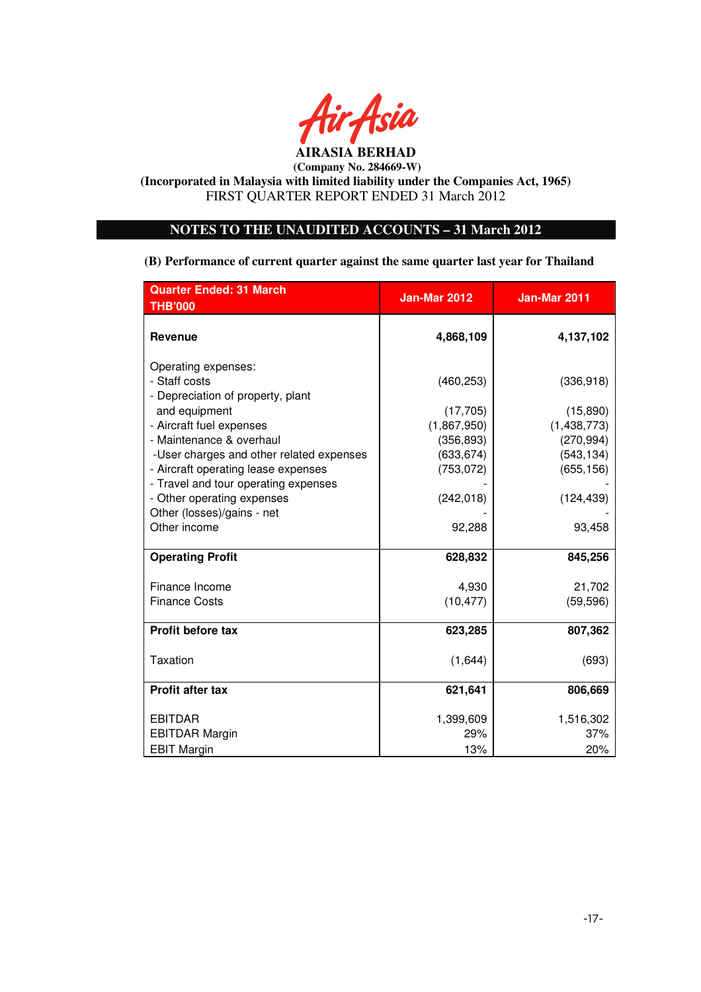

## **NOTES TO THE UNAUDITED ACCOUNTS – 31 March 2012**

**(B) Performance of current quarter against the same quarter last year for Thailand**

| <b>Quarter Ended: 31 March</b><br><b>THB'000</b>                            | Jan-Mar 2012 | <b>Jan-Mar 2011</b> |
|-----------------------------------------------------------------------------|--------------|---------------------|
| <b>Revenue</b>                                                              | 4,868,109    | 4,137,102           |
| Operating expenses:                                                         |              |                     |
| - Staff costs                                                               | (460, 253)   | (336,918)           |
| - Depreciation of property, plant                                           |              |                     |
| and equipment                                                               | (17, 705)    | (15,890)            |
| - Aircraft fuel expenses                                                    | (1,867,950)  | (1,438,773)         |
| - Maintenance & overhaul                                                    | (356, 893)   | (270, 994)          |
| -User charges and other related expenses                                    | (633, 674)   | (543, 134)          |
| - Aircraft operating lease expenses<br>- Travel and tour operating expenses | (753, 072)   | (655, 156)          |
| - Other operating expenses                                                  | (242, 018)   | (124, 439)          |
| Other (losses)/gains - net                                                  |              |                     |
| Other income                                                                | 92,288       | 93,458              |
|                                                                             |              |                     |
| <b>Operating Profit</b>                                                     | 628,832      | 845,256             |
|                                                                             |              |                     |
| Finance Income                                                              | 4,930        | 21,702              |
| <b>Finance Costs</b>                                                        | (10, 477)    | (59, 596)           |
| Profit before tax                                                           | 623,285      | 807,362             |
| <b>Taxation</b>                                                             | (1,644)      | (693)               |
| <b>Profit after tax</b>                                                     | 621,641      | 806,669             |
| <b>EBITDAR</b>                                                              | 1,399,609    | 1,516,302           |
| <b>EBITDAR Margin</b>                                                       | 29%          | 37%                 |
| <b>EBIT Margin</b>                                                          | 13%          | 20%                 |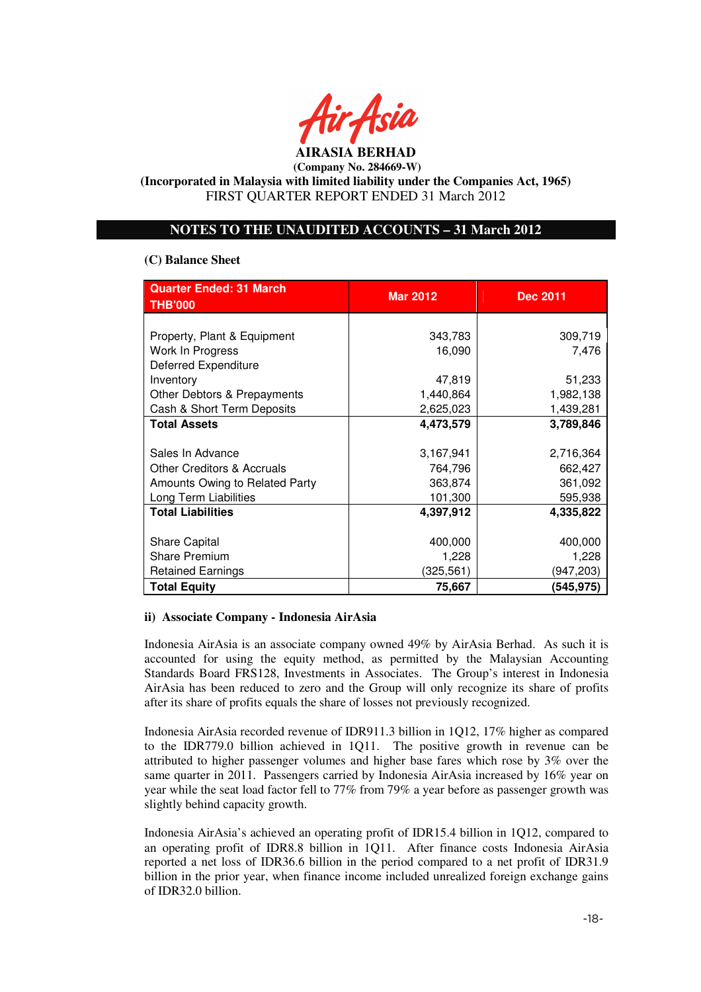

## **NOTES TO THE UNAUDITED ACCOUNTS – 31 March 2012**

### **(C) Balance Sheet**

| <b>Quarter Ended: 31 March</b><br><b>THB'000</b> | <b>Mar 2012</b> | <b>Dec 2011</b> |  |
|--------------------------------------------------|-----------------|-----------------|--|
|                                                  |                 |                 |  |
| Property, Plant & Equipment                      | 343,783         | 309,719         |  |
| Work In Progress                                 | 16,090          | 7,476           |  |
| <b>Deferred Expenditure</b>                      |                 |                 |  |
| Inventory                                        | 47,819          | 51,233          |  |
| Other Debtors & Prepayments                      | 1,440,864       | 1,982,138       |  |
| Cash & Short Term Deposits                       | 2,625,023       | 1,439,281       |  |
| <b>Total Assets</b>                              | 4,473,579       | 3,789,846       |  |
|                                                  |                 |                 |  |
| Sales In Advance                                 | 3,167,941       | 2,716,364       |  |
| <b>Other Creditors &amp; Accruals</b>            | 764,796         | 662,427         |  |
| Amounts Owing to Related Party                   | 363,874         | 361,092         |  |
| Long Term Liabilities                            | 101,300         | 595,938         |  |
| <b>Total Liabilities</b>                         | 4,397,912       | 4,335,822       |  |
|                                                  |                 |                 |  |
| <b>Share Capital</b>                             | 400,000         | 400,000         |  |
| <b>Share Premium</b>                             | 1,228           | 1,228           |  |
| <b>Retained Earnings</b>                         | (325, 561)      | (947,203)       |  |
| <b>Total Equity</b>                              | 75,667          | (545, 975)      |  |

### **ii) Associate Company - Indonesia AirAsia**

Indonesia AirAsia is an associate company owned 49% by AirAsia Berhad. As such it is accounted for using the equity method, as permitted by the Malaysian Accounting Standards Board FRS128, Investments in Associates. The Group's interest in Indonesia AirAsia has been reduced to zero and the Group will only recognize its share of profits after its share of profits equals the share of losses not previously recognized.

Indonesia AirAsia recorded revenue of IDR911.3 billion in 1Q12, 17% higher as compared to the IDR779.0 billion achieved in 1Q11. The positive growth in revenue can be attributed to higher passenger volumes and higher base fares which rose by 3% over the same quarter in 2011. Passengers carried by Indonesia AirAsia increased by 16% year on year while the seat load factor fell to 77% from 79% a year before as passenger growth was slightly behind capacity growth.

Indonesia AirAsia's achieved an operating profit of IDR15.4 billion in 1Q12, compared to an operating profit of IDR8.8 billion in 1Q11. After finance costs Indonesia AirAsia reported a net loss of IDR36.6 billion in the period compared to a net profit of IDR31.9 billion in the prior year, when finance income included unrealized foreign exchange gains of IDR32.0 billion.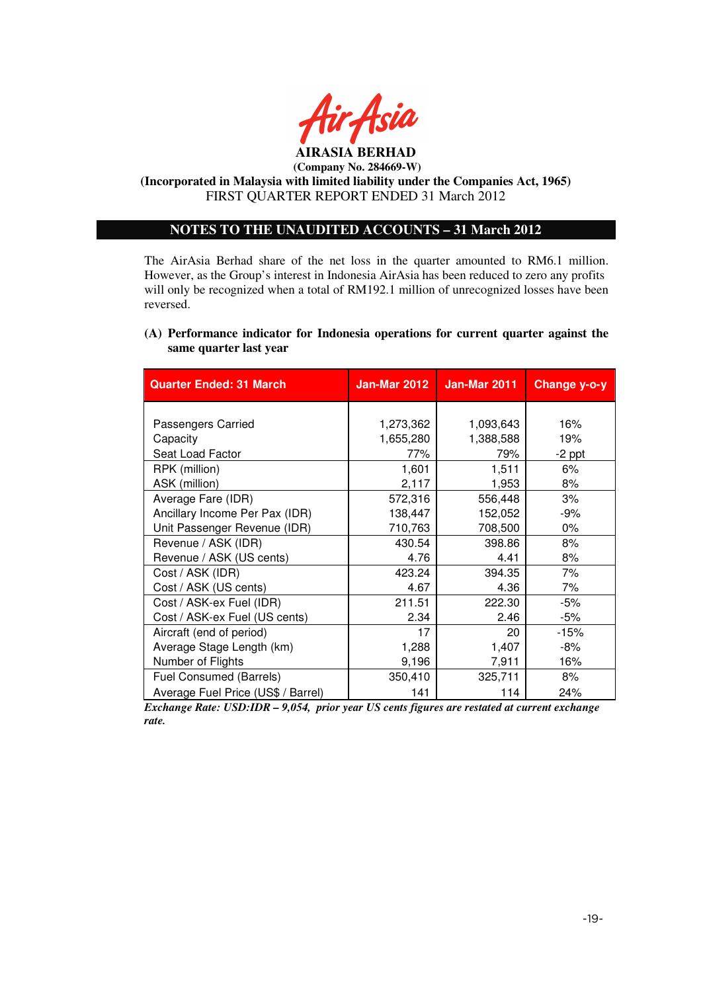

**(Incorporated in Malaysia with limited liability under the Companies Act, 1965)**  FIRST QUARTER REPORT ENDED 31 March 2012

## **NOTES TO THE UNAUDITED ACCOUNTS – 31 March 2012**

The AirAsia Berhad share of the net loss in the quarter amounted to RM6.1 million. However, as the Group's interest in Indonesia AirAsia has been reduced to zero any profits will only be recognized when a total of RM192.1 million of unrecognized losses have been reversed.

## **(A) Performance indicator for Indonesia operations for current quarter against the same quarter last year**

| <b>Quarter Ended: 31 March</b>     | Jan-Mar 2012 | <b>Jan-Mar 2011</b> | Change y-o-y |
|------------------------------------|--------------|---------------------|--------------|
|                                    |              |                     |              |
| Passengers Carried                 | 1,273,362    | 1,093,643           | 16%          |
| Capacity                           | 1,655,280    | 1,388,588           | 19%          |
| Seat Load Factor                   | 77%          | 79%                 | $-2$ ppt     |
| RPK (million)                      | 1,601        | 1,511               | 6%           |
| ASK (million)                      | 2,117        | 1,953               | 8%           |
| Average Fare (IDR)                 | 572,316      | 556,448             | 3%           |
| Ancillary Income Per Pax (IDR)     | 138,447      | 152,052             | -9%          |
| Unit Passenger Revenue (IDR)       | 710,763      | 708,500             | 0%           |
| Revenue / ASK (IDR)                | 430.54       | 398.86              | 8%           |
| Revenue / ASK (US cents)           | 4.76         | 4.41                | 8%           |
| Cost / ASK (IDR)                   | 423.24       | 394.35              | 7%           |
| Cost / ASK (US cents)              | 4.67         | 4.36                | 7%           |
| Cost / ASK-ex Fuel (IDR)           | 211.51       | 222.30              | -5%          |
| Cost / ASK-ex Fuel (US cents)      | 2.34         | 2.46                | -5%          |
| Aircraft (end of period)           | 17           | 20                  | $-15%$       |
| Average Stage Length (km)          | 1,288        | 1,407               | -8%          |
| Number of Flights                  | 9,196        | 7,911               | 16%          |
| Fuel Consumed (Barrels)            | 350,410      | 325,711             | 8%           |
| Average Fuel Price (US\$ / Barrel) | 141          | 114                 | 24%          |

*Exchange Rate: USD:IDR – 9,054, prior year US cents figures are restated at current exchange rate.*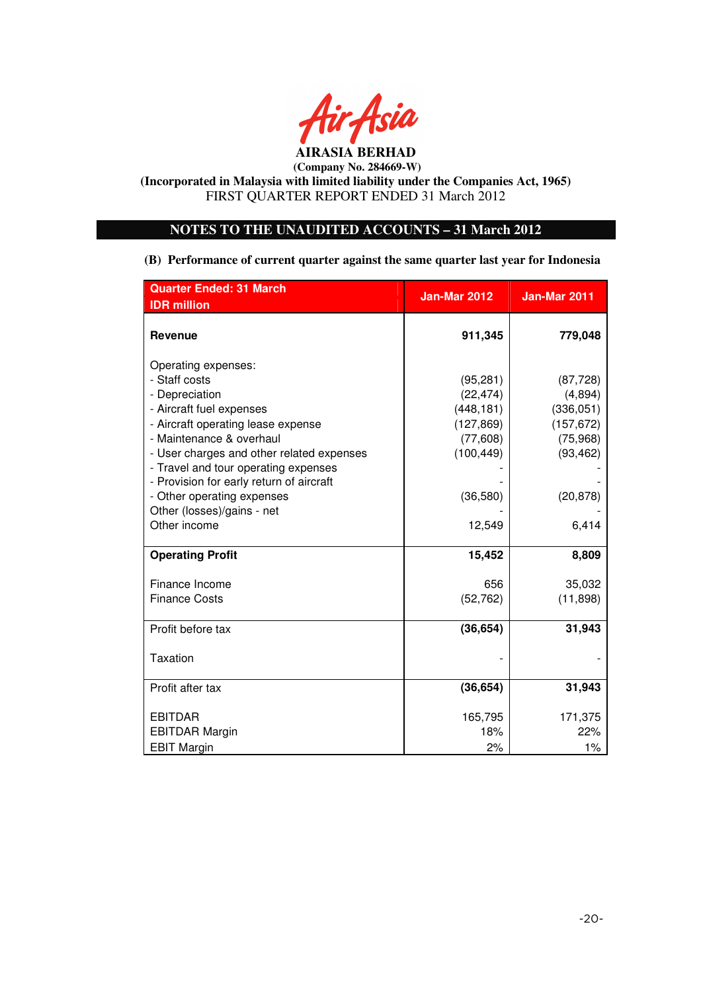

## **NOTES TO THE UNAUDITED ACCOUNTS – 31 March 2012**

**(B) Performance of current quarter against the same quarter last year for Indonesia** 

| <b>Quarter Ended: 31 March</b>            | <b>Jan-Mar 2012</b> | <b>Jan-Mar 2011</b> |
|-------------------------------------------|---------------------|---------------------|
| <b>IDR</b> million                        |                     |                     |
| <b>Revenue</b>                            | 911,345             | 779,048             |
| Operating expenses:                       |                     |                     |
| - Staff costs                             | (95, 281)           | (87, 728)           |
| - Depreciation                            | (22, 474)           | (4,894)             |
| - Aircraft fuel expenses                  | (448, 181)          | (336, 051)          |
| - Aircraft operating lease expense        | (127, 869)          | (157, 672)          |
| - Maintenance & overhaul                  | (77,608)            | (75, 968)           |
| - User charges and other related expenses | (100, 449)          | (93, 462)           |
| - Travel and tour operating expenses      |                     |                     |
| - Provision for early return of aircraft  |                     |                     |
| - Other operating expenses                | (36,580)            | (20, 878)           |
| Other (losses)/gains - net                |                     |                     |
| Other income                              | 12,549              | 6,414               |
| <b>Operating Profit</b>                   | 15,452              | 8,809               |
| Finance Income                            | 656                 | 35,032              |
| <b>Finance Costs</b>                      | (52, 762)           | (11, 898)           |
| Profit before tax                         | (36, 654)           | 31,943              |
|                                           |                     |                     |
| Taxation                                  |                     |                     |
|                                           |                     |                     |
| Profit after tax                          | (36, 654)           | 31,943              |
| <b>EBITDAR</b>                            | 165,795             | 171,375             |
| <b>EBITDAR Margin</b>                     | 18%                 | 22%                 |
| <b>EBIT Margin</b>                        | 2%                  | 1%                  |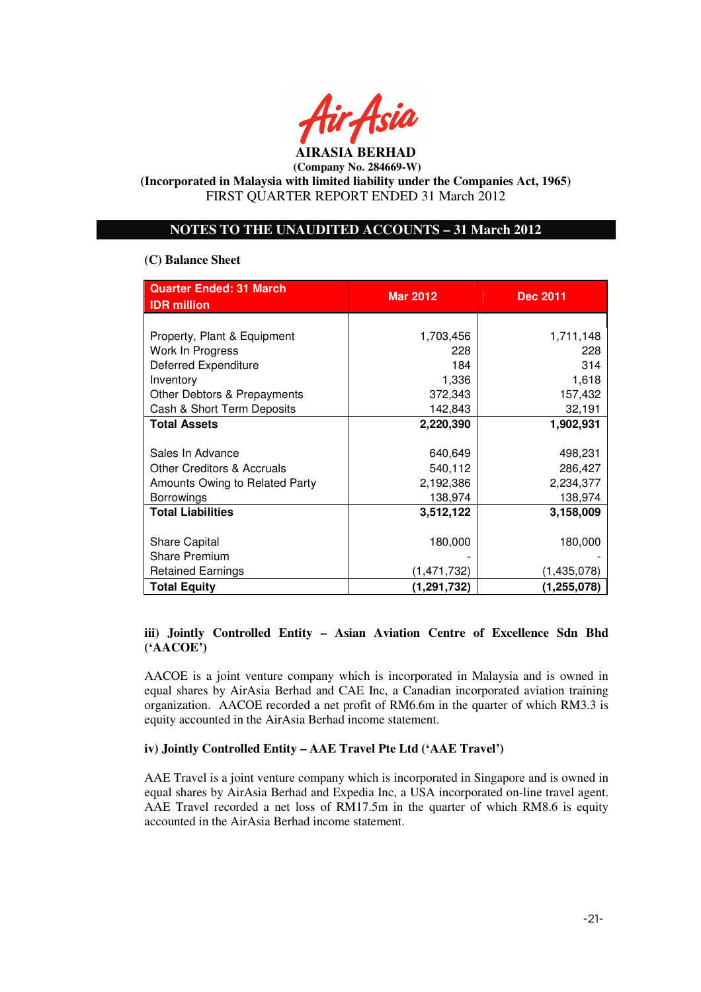

## **NOTES TO THE UNAUDITED ACCOUNTS – 31 March 2012**

### **(C) Balance Sheet**

| <b>Quarter Ended: 31 March</b>        | <b>Mar 2012</b> | <b>Dec 2011</b> |  |
|---------------------------------------|-----------------|-----------------|--|
| <b>IDR</b> million                    |                 |                 |  |
|                                       |                 |                 |  |
| Property, Plant & Equipment           | 1,703,456       | 1,711,148       |  |
| Work In Progress                      | 228             | 228             |  |
| <b>Deferred Expenditure</b>           | 184             | 314             |  |
| Inventory                             | 1,336           | 1,618           |  |
| Other Debtors & Prepayments           | 372,343         | 157,432         |  |
| Cash & Short Term Deposits            | 142,843         | 32,191          |  |
| <b>Total Assets</b>                   | 2,220,390       | 1,902,931       |  |
|                                       |                 |                 |  |
| Sales In Advance                      | 640,649         | 498,231         |  |
| <b>Other Creditors &amp; Accruals</b> | 540,112         | 286,427         |  |
| Amounts Owing to Related Party        | 2,192,386       | 2,234,377       |  |
| <b>Borrowings</b>                     | 138,974         | 138,974         |  |
| <b>Total Liabilities</b>              | 3,512,122       | 3,158,009       |  |
|                                       |                 |                 |  |
| <b>Share Capital</b>                  | 180,000         | 180,000         |  |
| <b>Share Premium</b>                  |                 |                 |  |
| <b>Retained Earnings</b>              | (1,471,732)     | (1,435,078)     |  |
| <b>Total Equity</b>                   | (1,291,732)     | (1, 255, 078)   |  |

## **iii) Jointly Controlled Entity – Asian Aviation Centre of Excellence Sdn Bhd ('AACOE')**

AACOE is a joint venture company which is incorporated in Malaysia and is owned in equal shares by AirAsia Berhad and CAE Inc, a Canadian incorporated aviation training organization. AACOE recorded a net profit of RM6.6m in the quarter of which RM3.3 is equity accounted in the AirAsia Berhad income statement.

### **iv) Jointly Controlled Entity – AAE Travel Pte Ltd ('AAE Travel')**

AAE Travel is a joint venture company which is incorporated in Singapore and is owned in equal shares by AirAsia Berhad and Expedia Inc, a USA incorporated on-line travel agent. AAE Travel recorded a net loss of RM17.5m in the quarter of which RM8.6 is equity accounted in the AirAsia Berhad income statement.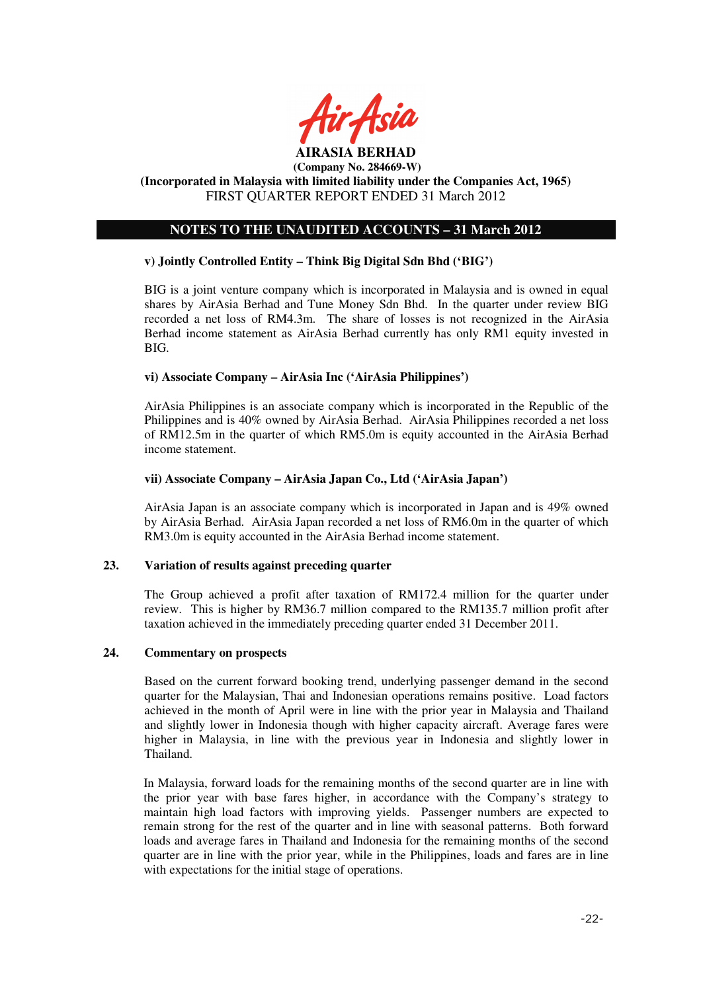

## **NOTES TO THE UNAUDITED ACCOUNTS – 31 March 2012**

### **v) Jointly Controlled Entity – Think Big Digital Sdn Bhd ('BIG')**

BIG is a joint venture company which is incorporated in Malaysia and is owned in equal shares by AirAsia Berhad and Tune Money Sdn Bhd. In the quarter under review BIG recorded a net loss of RM4.3m. The share of losses is not recognized in the AirAsia Berhad income statement as AirAsia Berhad currently has only RM1 equity invested in BIG.

### **vi) Associate Company – AirAsia Inc ('AirAsia Philippines')**

AirAsia Philippines is an associate company which is incorporated in the Republic of the Philippines and is 40% owned by AirAsia Berhad. AirAsia Philippines recorded a net loss of RM12.5m in the quarter of which RM5.0m is equity accounted in the AirAsia Berhad income statement.

### **vii) Associate Company – AirAsia Japan Co., Ltd ('AirAsia Japan')**

AirAsia Japan is an associate company which is incorporated in Japan and is 49% owned by AirAsia Berhad. AirAsia Japan recorded a net loss of RM6.0m in the quarter of which RM3.0m is equity accounted in the AirAsia Berhad income statement.

### **23. Variation of results against preceding quarter**

The Group achieved a profit after taxation of RM172.4 million for the quarter under review. This is higher by RM36.7 million compared to the RM135.7 million profit after taxation achieved in the immediately preceding quarter ended 31 December 2011.

## **24. Commentary on prospects**

Based on the current forward booking trend, underlying passenger demand in the second quarter for the Malaysian, Thai and Indonesian operations remains positive. Load factors achieved in the month of April were in line with the prior year in Malaysia and Thailand and slightly lower in Indonesia though with higher capacity aircraft. Average fares were higher in Malaysia, in line with the previous year in Indonesia and slightly lower in Thailand.

In Malaysia, forward loads for the remaining months of the second quarter are in line with the prior year with base fares higher, in accordance with the Company's strategy to maintain high load factors with improving yields. Passenger numbers are expected to remain strong for the rest of the quarter and in line with seasonal patterns. Both forward loads and average fares in Thailand and Indonesia for the remaining months of the second quarter are in line with the prior year, while in the Philippines, loads and fares are in line with expectations for the initial stage of operations.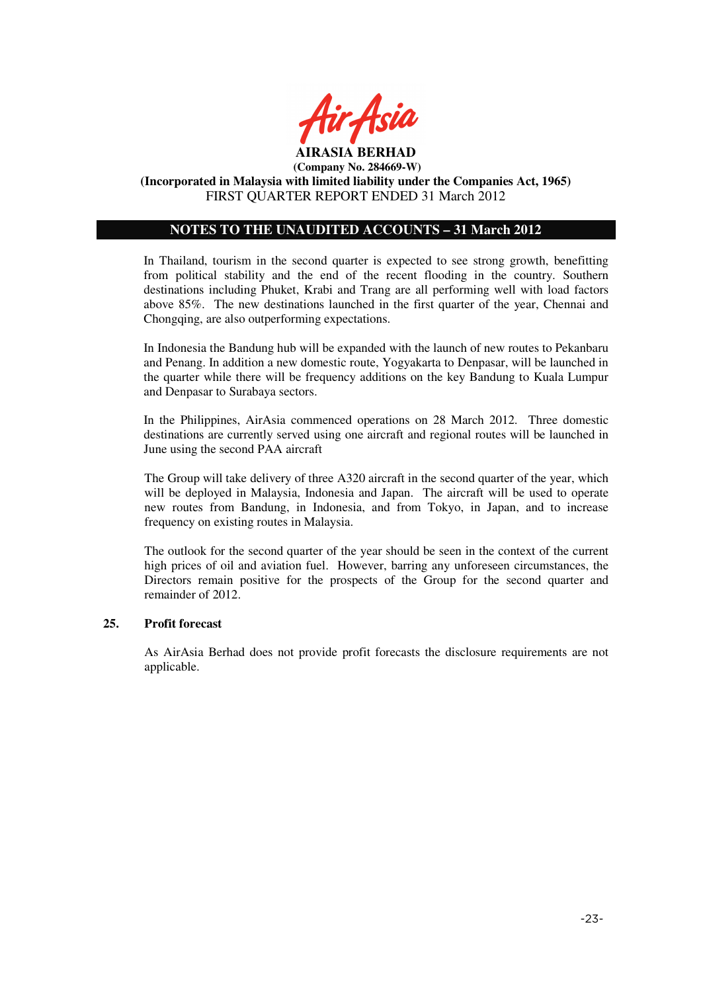

## **NOTES TO THE UNAUDITED ACCOUNTS – 31 March 2012**

In Thailand, tourism in the second quarter is expected to see strong growth, benefitting from political stability and the end of the recent flooding in the country. Southern destinations including Phuket, Krabi and Trang are all performing well with load factors above 85%. The new destinations launched in the first quarter of the year, Chennai and Chongqing, are also outperforming expectations.

In Indonesia the Bandung hub will be expanded with the launch of new routes to Pekanbaru and Penang. In addition a new domestic route, Yogyakarta to Denpasar, will be launched in the quarter while there will be frequency additions on the key Bandung to Kuala Lumpur and Denpasar to Surabaya sectors.

In the Philippines, AirAsia commenced operations on 28 March 2012. Three domestic destinations are currently served using one aircraft and regional routes will be launched in June using the second PAA aircraft

The Group will take delivery of three A320 aircraft in the second quarter of the year, which will be deployed in Malaysia, Indonesia and Japan. The aircraft will be used to operate new routes from Bandung, in Indonesia, and from Tokyo, in Japan, and to increase frequency on existing routes in Malaysia.

The outlook for the second quarter of the year should be seen in the context of the current high prices of oil and aviation fuel. However, barring any unforeseen circumstances, the Directors remain positive for the prospects of the Group for the second quarter and remainder of 2012.

### **25. Profit forecast**

As AirAsia Berhad does not provide profit forecasts the disclosure requirements are not applicable.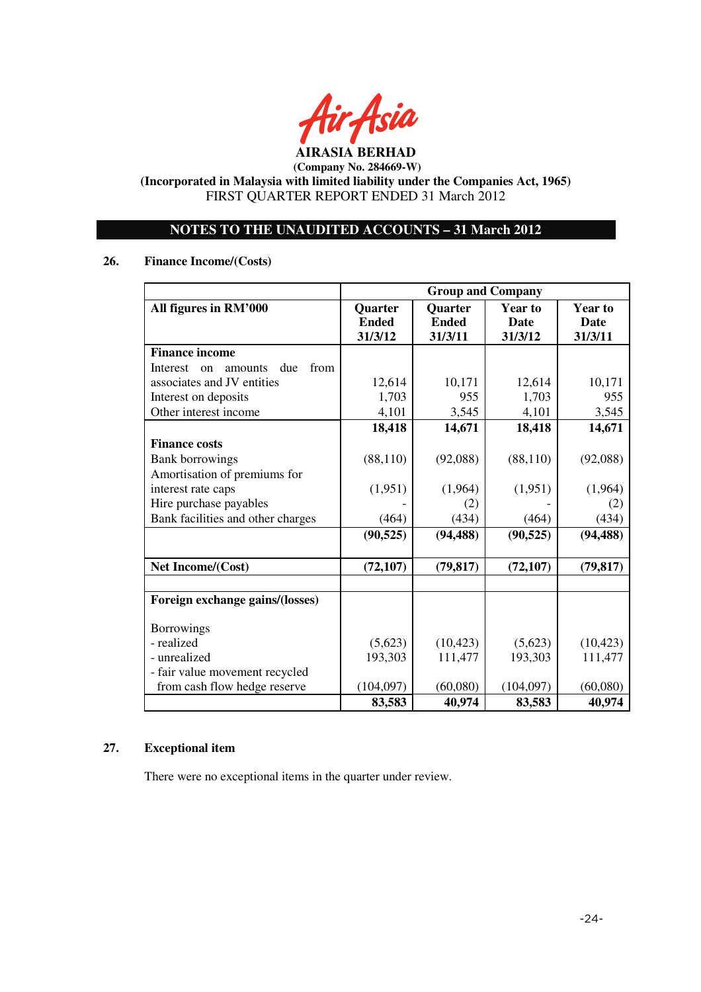

## **NOTES TO THE UNAUDITED ACCOUNTS – 31 March 2012**

## **26. Finance Income/(Costs)**

|                                          | <b>Group and Company</b> |                |                |                |
|------------------------------------------|--------------------------|----------------|----------------|----------------|
| All figures in RM'000                    | Quarter                  | <b>Quarter</b> | <b>Year to</b> | <b>Year to</b> |
|                                          | <b>Ended</b>             | <b>Ended</b>   | <b>Date</b>    | <b>Date</b>    |
|                                          | 31/3/12                  | 31/3/11        | 31/3/12        | 31/3/11        |
| <b>Finance income</b>                    |                          |                |                |                |
| from<br>Interest<br>due<br>amounts<br>on |                          |                |                |                |
| associates and JV entities               | 12,614                   | 10,171         | 12,614         | 10,171         |
| Interest on deposits                     | 1,703                    | 955            | 1,703          | 955            |
| Other interest income                    | 4,101                    | 3,545          | 4,101          | 3,545          |
|                                          | 18,418                   | 14,671         | 18,418         | 14,671         |
| <b>Finance costs</b>                     |                          |                |                |                |
| <b>Bank borrowings</b>                   | (88, 110)                | (92,088)       | (88, 110)      | (92,088)       |
| Amortisation of premiums for             |                          |                |                |                |
| interest rate caps                       | (1,951)                  | (1,964)        | (1,951)        | (1,964)        |
| Hire purchase payables                   |                          | (2)            |                | (2)            |
| Bank facilities and other charges        | (464)                    | (434)          | (464)          | (434)          |
|                                          | (90, 525)                | (94, 488)      | (90, 525)      | (94, 488)      |
|                                          |                          |                |                |                |
| Net Income/(Cost)                        | (72, 107)                | (79, 817)      | (72, 107)      | (79, 817)      |
|                                          |                          |                |                |                |
| Foreign exchange gains/(losses)          |                          |                |                |                |
|                                          |                          |                |                |                |
| <b>Borrowings</b>                        |                          |                |                |                |
| - realized                               | (5,623)                  | (10, 423)      | (5,623)        | (10, 423)      |
| - unrealized                             | 193,303                  | 111,477        | 193,303        | 111,477        |
| - fair value movement recycled           |                          |                |                |                |
| from cash flow hedge reserve             | (104,097)                | (60,080)       | (104,097)      | (60,080)       |
|                                          | 83,583                   | 40,974         | 83,583         | 40,974         |

## **27. Exceptional item**

There were no exceptional items in the quarter under review.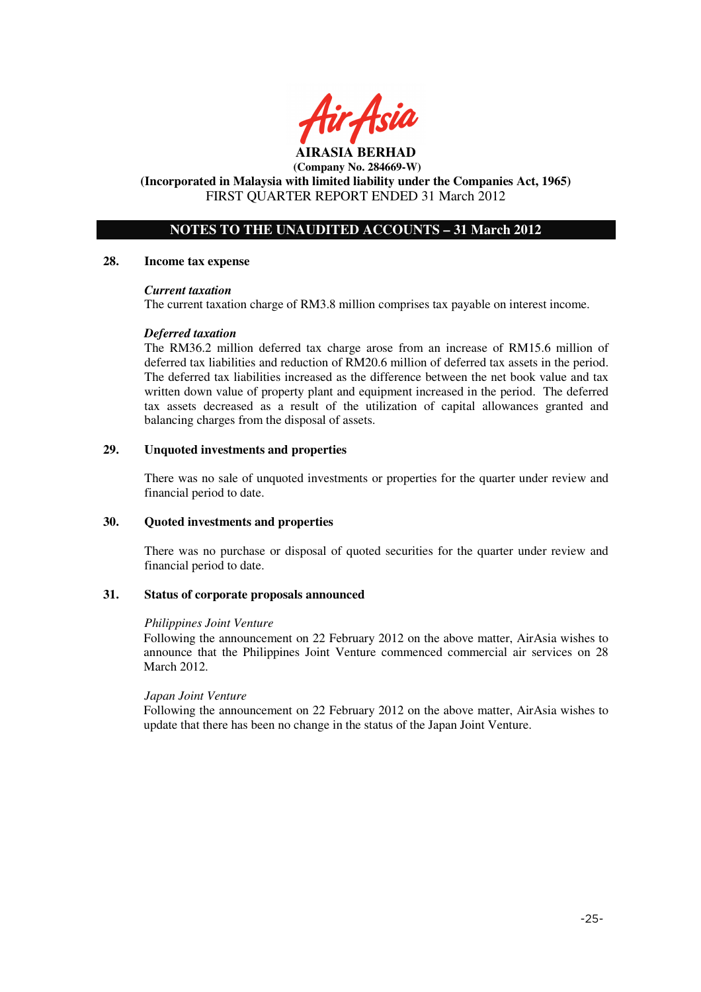

## **AIRASIA BERHAD (Company No. 284669-W)**

#### **(Incorporated in Malaysia with limited liability under the Companies Act, 1965)**  FIRST QUARTER REPORT ENDED 31 March 2012

## **NOTES TO THE UNAUDITED ACCOUNTS – 31 March 2012**

### **28. Income tax expense**

### *Current taxation*

The current taxation charge of RM3.8 million comprises tax payable on interest income.

### *Deferred taxation*

The RM36.2 million deferred tax charge arose from an increase of RM15.6 million of deferred tax liabilities and reduction of RM20.6 million of deferred tax assets in the period. The deferred tax liabilities increased as the difference between the net book value and tax written down value of property plant and equipment increased in the period. The deferred tax assets decreased as a result of the utilization of capital allowances granted and balancing charges from the disposal of assets.

### **29. Unquoted investments and properties**

There was no sale of unquoted investments or properties for the quarter under review and financial period to date.

### **30. Quoted investments and properties**

There was no purchase or disposal of quoted securities for the quarter under review and financial period to date.

### **31. Status of corporate proposals announced**

#### *Philippines Joint Venture*

Following the announcement on 22 February 2012 on the above matter, AirAsia wishes to announce that the Philippines Joint Venture commenced commercial air services on 28 March 2012.

### *Japan Joint Venture*

Following the announcement on 22 February 2012 on the above matter, AirAsia wishes to update that there has been no change in the status of the Japan Joint Venture.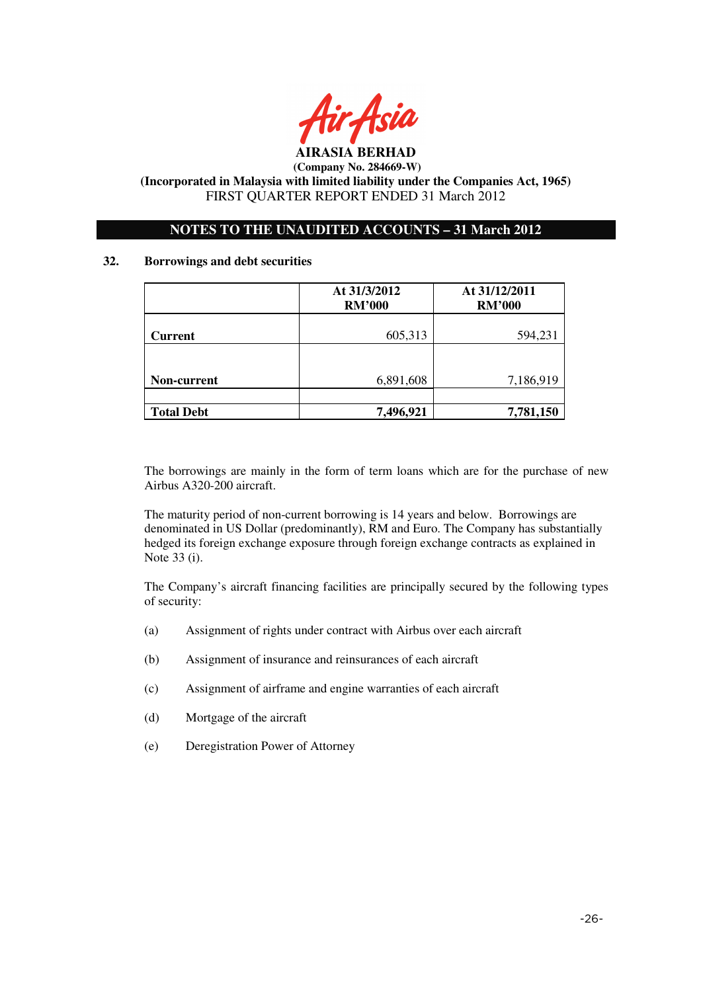

## **NOTES TO THE UNAUDITED ACCOUNTS – 31 March 2012**

### **32. Borrowings and debt securities**

|                   | At 31/3/2012<br><b>RM'000</b> | At 31/12/2011<br><b>RM'000</b> |  |
|-------------------|-------------------------------|--------------------------------|--|
| <b>Current</b>    | 605,313                       | 594,231                        |  |
|                   |                               |                                |  |
| Non-current       | 6,891,608                     | 7,186,919                      |  |
| <b>Total Debt</b> | 7,496,921                     | 7,781,150                      |  |

The borrowings are mainly in the form of term loans which are for the purchase of new Airbus A320-200 aircraft.

The maturity period of non-current borrowing is 14 years and below. Borrowings are denominated in US Dollar (predominantly), RM and Euro. The Company has substantially hedged its foreign exchange exposure through foreign exchange contracts as explained in Note 33 (i).

The Company's aircraft financing facilities are principally secured by the following types of security:

- (a) Assignment of rights under contract with Airbus over each aircraft
- (b) Assignment of insurance and reinsurances of each aircraft
- (c) Assignment of airframe and engine warranties of each aircraft
- (d) Mortgage of the aircraft
- (e) Deregistration Power of Attorney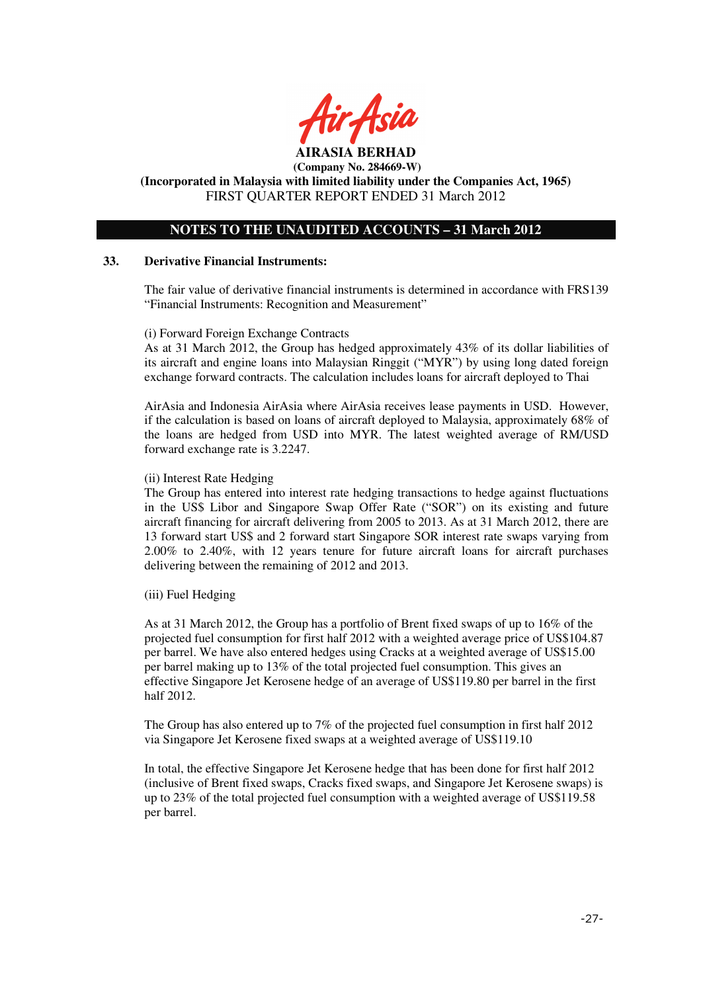

#### **(Incorporated in Malaysia with limited liability under the Companies Act, 1965)**  FIRST QUARTER REPORT ENDED 31 March 2012

## **NOTES TO THE UNAUDITED ACCOUNTS – 31 March 2012**

### **33. Derivative Financial Instruments:**

The fair value of derivative financial instruments is determined in accordance with FRS139 "Financial Instruments: Recognition and Measurement"

(i) Forward Foreign Exchange Contracts

As at 31 March 2012, the Group has hedged approximately 43% of its dollar liabilities of its aircraft and engine loans into Malaysian Ringgit ("MYR") by using long dated foreign exchange forward contracts. The calculation includes loans for aircraft deployed to Thai

AirAsia and Indonesia AirAsia where AirAsia receives lease payments in USD. However, if the calculation is based on loans of aircraft deployed to Malaysia, approximately 68% of the loans are hedged from USD into MYR. The latest weighted average of RM/USD forward exchange rate is 3.2247.

### (ii) Interest Rate Hedging

The Group has entered into interest rate hedging transactions to hedge against fluctuations in the US\$ Libor and Singapore Swap Offer Rate ("SOR") on its existing and future aircraft financing for aircraft delivering from 2005 to 2013. As at 31 March 2012, there are 13 forward start US\$ and 2 forward start Singapore SOR interest rate swaps varying from 2.00% to 2.40%, with 12 years tenure for future aircraft loans for aircraft purchases delivering between the remaining of 2012 and 2013.

(iii) Fuel Hedging

As at 31 March 2012, the Group has a portfolio of Brent fixed swaps of up to 16% of the projected fuel consumption for first half 2012 with a weighted average price of US\$104.87 per barrel. We have also entered hedges using Cracks at a weighted average of US\$15.00 per barrel making up to 13% of the total projected fuel consumption. This gives an effective Singapore Jet Kerosene hedge of an average of US\$119.80 per barrel in the first half 2012.

The Group has also entered up to 7% of the projected fuel consumption in first half 2012 via Singapore Jet Kerosene fixed swaps at a weighted average of US\$119.10

In total, the effective Singapore Jet Kerosene hedge that has been done for first half 2012 (inclusive of Brent fixed swaps, Cracks fixed swaps, and Singapore Jet Kerosene swaps) is up to 23% of the total projected fuel consumption with a weighted average of US\$119.58 per barrel.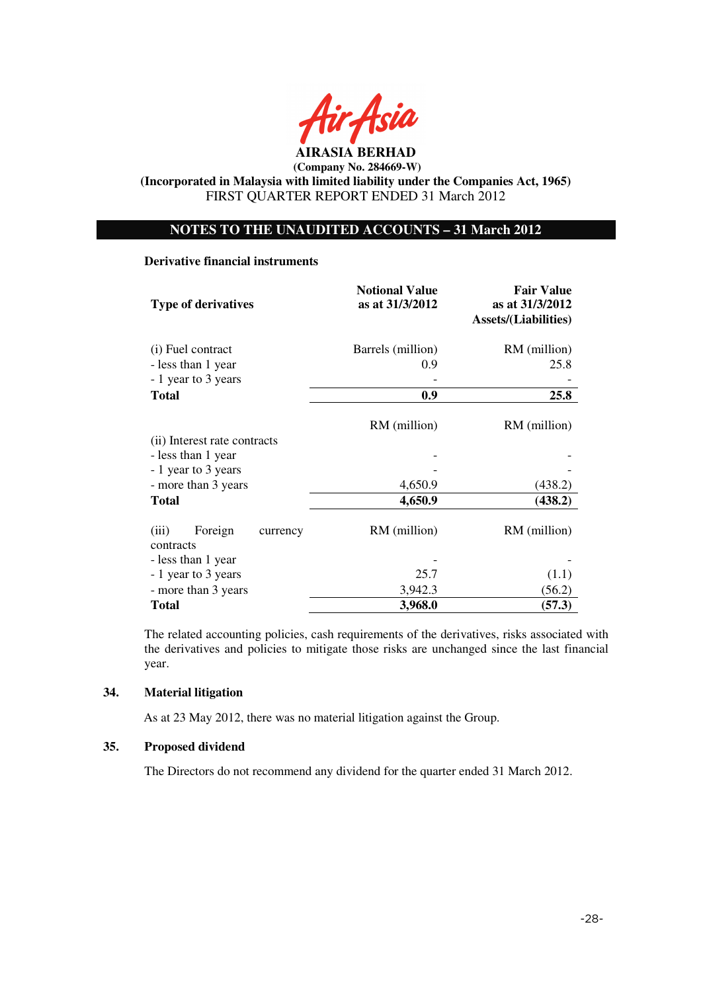

## **NOTES TO THE UNAUDITED ACCOUNTS – 31 March 2012**

#### **Derivative financial instruments**

| <b>Type of derivatives</b>                | <b>Notional Value</b><br>as at 31/3/2012 | <b>Fair Value</b><br>as at 31/3/2012<br><b>Assets/(Liabilities)</b> |  |
|-------------------------------------------|------------------------------------------|---------------------------------------------------------------------|--|
| (i) Fuel contract                         | Barrels (million)                        | RM (million)                                                        |  |
| - less than 1 year                        | 0.9                                      | 25.8                                                                |  |
| - 1 year to 3 years                       |                                          |                                                                     |  |
| <b>Total</b>                              | 0.9                                      | 25.8                                                                |  |
| (ii) Interest rate contracts              | RM (million)                             | RM (million)                                                        |  |
| - less than 1 year                        |                                          |                                                                     |  |
| - 1 year to 3 years                       |                                          |                                                                     |  |
| - more than 3 years                       | 4,650.9                                  | (438.2)                                                             |  |
| <b>Total</b>                              | 4,650.9                                  | (438.2)                                                             |  |
| (iii)<br>Foreign<br>currency<br>contracts | RM (million)                             | RM (million)                                                        |  |
| - less than 1 year                        |                                          |                                                                     |  |
| - 1 year to 3 years                       | 25.7                                     | (1.1)                                                               |  |
| - more than 3 years                       | 3,942.3                                  | (56.2)                                                              |  |
| <b>Total</b>                              | 3,968.0                                  | (57.3)                                                              |  |

The related accounting policies, cash requirements of the derivatives, risks associated with the derivatives and policies to mitigate those risks are unchanged since the last financial year.

## **34. Material litigation**

As at 23 May 2012, there was no material litigation against the Group.

## **35. Proposed dividend**

The Directors do not recommend any dividend for the quarter ended 31 March 2012.